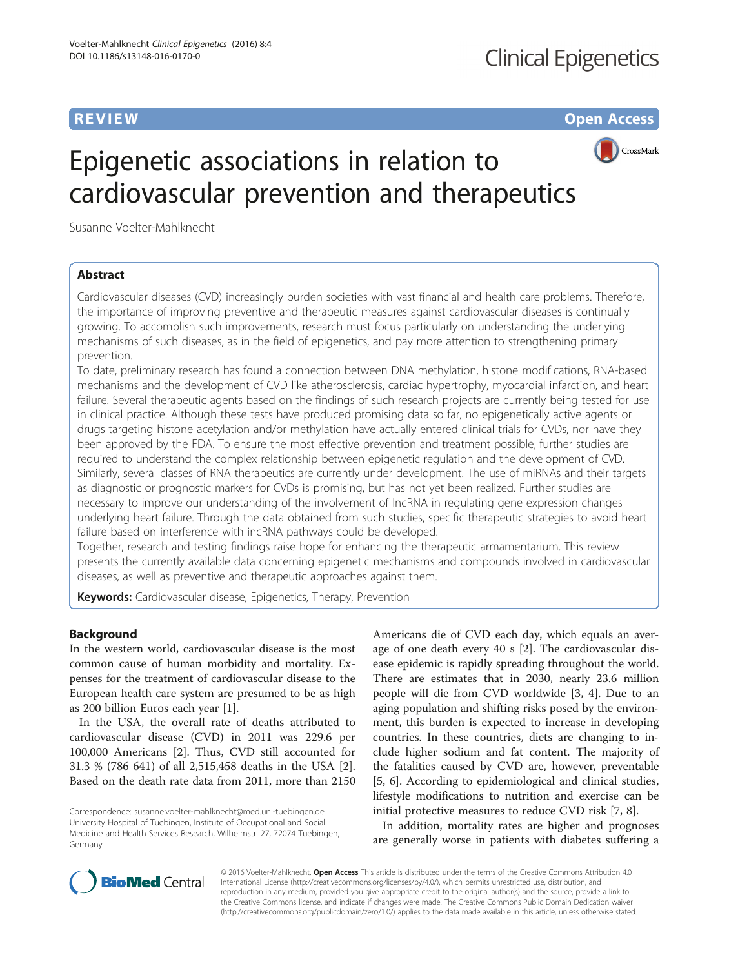**REVIEW CONSTRUCTION CONSTRUCTION CONSTRUCTS** 



# Epigenetic associations in relation to cardiovascular prevention and therapeutics

Susanne Voelter-Mahlknecht

## Abstract

Cardiovascular diseases (CVD) increasingly burden societies with vast financial and health care problems. Therefore, the importance of improving preventive and therapeutic measures against cardiovascular diseases is continually growing. To accomplish such improvements, research must focus particularly on understanding the underlying mechanisms of such diseases, as in the field of epigenetics, and pay more attention to strengthening primary prevention.

To date, preliminary research has found a connection between DNA methylation, histone modifications, RNA-based mechanisms and the development of CVD like atherosclerosis, cardiac hypertrophy, myocardial infarction, and heart failure. Several therapeutic agents based on the findings of such research projects are currently being tested for use in clinical practice. Although these tests have produced promising data so far, no epigenetically active agents or drugs targeting histone acetylation and/or methylation have actually entered clinical trials for CVDs, nor have they been approved by the FDA. To ensure the most effective prevention and treatment possible, further studies are required to understand the complex relationship between epigenetic regulation and the development of CVD. Similarly, several classes of RNA therapeutics are currently under development. The use of miRNAs and their targets as diagnostic or prognostic markers for CVDs is promising, but has not yet been realized. Further studies are necessary to improve our understanding of the involvement of lncRNA in regulating gene expression changes underlying heart failure. Through the data obtained from such studies, specific therapeutic strategies to avoid heart failure based on interference with incRNA pathways could be developed.

Together, research and testing findings raise hope for enhancing the therapeutic armamentarium. This review presents the currently available data concerning epigenetic mechanisms and compounds involved in cardiovascular diseases, as well as preventive and therapeutic approaches against them.

**Keywords:** Cardiovascular disease, Epigenetics, Therapy, Prevention

### Background

In the western world, cardiovascular disease is the most common cause of human morbidity and mortality. Expenses for the treatment of cardiovascular disease to the European health care system are presumed to be as high as 200 billion Euros each year [\[1](#page-11-0)].

In the USA, the overall rate of deaths attributed to cardiovascular disease (CVD) in 2011 was 229.6 per 100,000 Americans [[2\]](#page-11-0). Thus, CVD still accounted for 31.3 % (786 641) of all 2,515,458 deaths in the USA [\[2](#page-11-0)]. Based on the death rate data from 2011, more than 2150

Americans die of CVD each day, which equals an average of one death every 40 s [\[2](#page-11-0)]. The cardiovascular disease epidemic is rapidly spreading throughout the world. There are estimates that in 2030, nearly 23.6 million people will die from CVD worldwide [[3, 4\]](#page-11-0). Due to an aging population and shifting risks posed by the environment, this burden is expected to increase in developing countries. In these countries, diets are changing to include higher sodium and fat content. The majority of the fatalities caused by CVD are, however, preventable [[5, 6](#page-11-0)]. According to epidemiological and clinical studies, lifestyle modifications to nutrition and exercise can be initial protective measures to reduce CVD risk [[7, 8\]](#page-11-0).

In addition, mortality rates are higher and prognoses are generally worse in patients with diabetes suffering a



© 2016 Voelter-Mahlknecht. Open Access This article is distributed under the terms of the Creative Commons Attribution 4.0 International License [\(http://creativecommons.org/licenses/by/4.0/](http://creativecommons.org/licenses/by/4.0/)), which permits unrestricted use, distribution, and reproduction in any medium, provided you give appropriate credit to the original author(s) and the source, provide a link to the Creative Commons license, and indicate if changes were made. The Creative Commons Public Domain Dedication waiver [\(http://creativecommons.org/publicdomain/zero/1.0/](http://creativecommons.org/publicdomain/zero/1.0/)) applies to the data made available in this article, unless otherwise stated.

Correspondence: [susanne.voelter-mahlknecht@med.uni-tuebingen.de](mailto:susanne.voelter-mahlknecht@med.uni-tuebingen.de) University Hospital of Tuebingen, Institute of Occupational and Social Medicine and Health Services Research, Wilhelmstr. 27, 72074 Tuebingen, Germany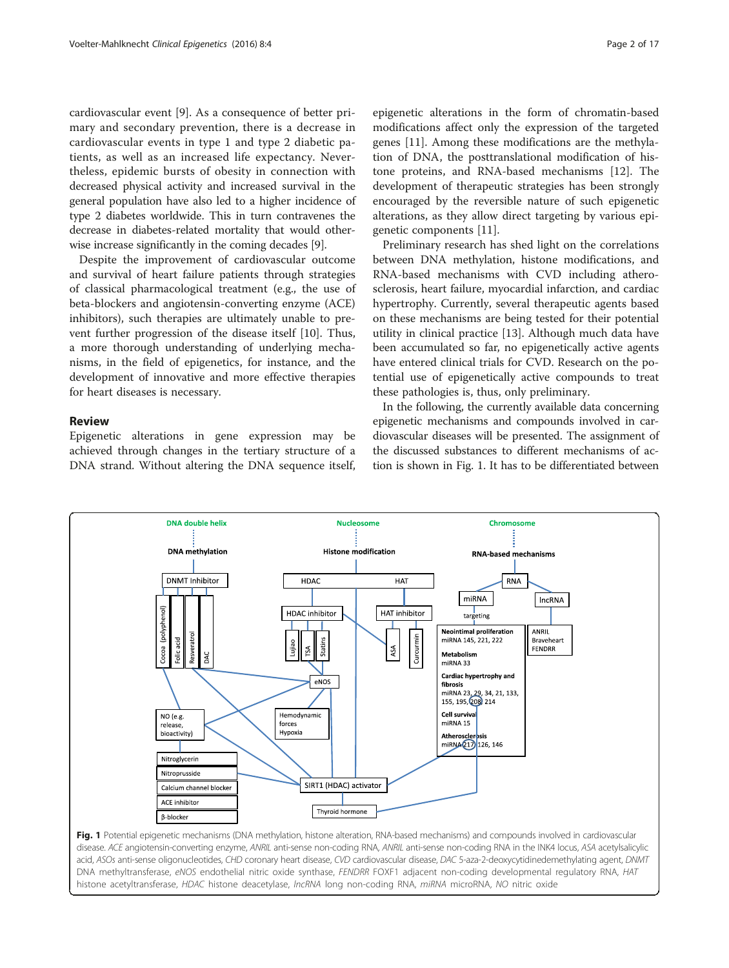<span id="page-1-0"></span>cardiovascular event [[9](#page-11-0)]. As a consequence of better primary and secondary prevention, there is a decrease in cardiovascular events in type 1 and type 2 diabetic patients, as well as an increased life expectancy. Nevertheless, epidemic bursts of obesity in connection with decreased physical activity and increased survival in the general population have also led to a higher incidence of type 2 diabetes worldwide. This in turn contravenes the decrease in diabetes-related mortality that would otherwise increase significantly in the coming decades [\[9](#page-11-0)].

Despite the improvement of cardiovascular outcome and survival of heart failure patients through strategies of classical pharmacological treatment (e.g., the use of beta-blockers and angiotensin-converting enzyme (ACE) inhibitors), such therapies are ultimately unable to prevent further progression of the disease itself [\[10](#page-11-0)]. Thus, a more thorough understanding of underlying mechanisms, in the field of epigenetics, for instance, and the development of innovative and more effective therapies for heart diseases is necessary.

### Review

Epigenetic alterations in gene expression may be achieved through changes in the tertiary structure of a DNA strand. Without altering the DNA sequence itself,

epigenetic alterations in the form of chromatin-based modifications affect only the expression of the targeted genes [\[11\]](#page-11-0). Among these modifications are the methylation of DNA, the posttranslational modification of histone proteins, and RNA-based mechanisms [[12\]](#page-11-0). The development of therapeutic strategies has been strongly encouraged by the reversible nature of such epigenetic alterations, as they allow direct targeting by various epigenetic components [\[11\]](#page-11-0).

Preliminary research has shed light on the correlations between DNA methylation, histone modifications, and RNA-based mechanisms with CVD including atherosclerosis, heart failure, myocardial infarction, and cardiac hypertrophy. Currently, several therapeutic agents based on these mechanisms are being tested for their potential utility in clinical practice [\[13](#page-12-0)]. Although much data have been accumulated so far, no epigenetically active agents have entered clinical trials for CVD. Research on the potential use of epigenetically active compounds to treat these pathologies is, thus, only preliminary.

In the following, the currently available data concerning epigenetic mechanisms and compounds involved in cardiovascular diseases will be presented. The assignment of the discussed substances to different mechanisms of action is shown in Fig. 1. It has to be differentiated between



histone acetyltransferase, HDAC histone deacetylase, *lncRNA* long non-coding RNA, miRNA microRNA, NO nitric oxide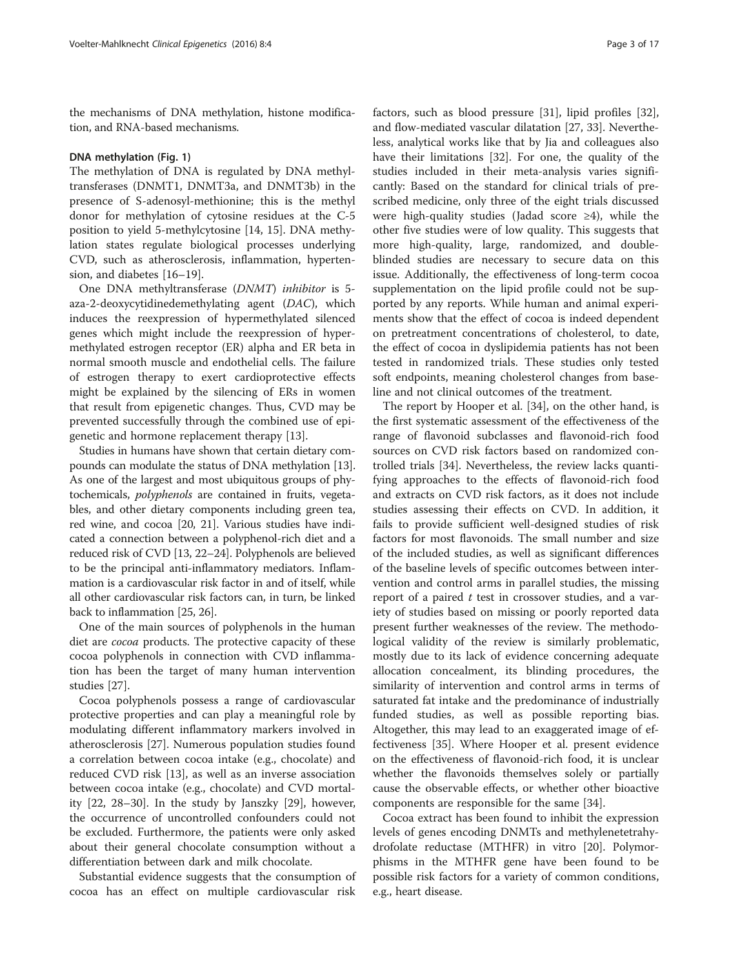the mechanisms of DNA methylation, histone modification, and RNA-based mechanisms.

### DNA methylation (Fig. [1](#page-1-0))

The methylation of DNA is regulated by DNA methyltransferases (DNMT1, DNMT3a, and DNMT3b) in the presence of S-adenosyl-methionine; this is the methyl donor for methylation of cytosine residues at the C-5 position to yield 5-methylcytosine [\[14, 15](#page-12-0)]. DNA methylation states regulate biological processes underlying CVD, such as atherosclerosis, inflammation, hypertension, and diabetes [[16](#page-12-0)–[19](#page-12-0)].

One DNA methyltransferase (DNMT) inhibitor is 5 aza-2-deoxycytidinedemethylating agent (DAC), which induces the reexpression of hypermethylated silenced genes which might include the reexpression of hypermethylated estrogen receptor (ER) alpha and ER beta in normal smooth muscle and endothelial cells. The failure of estrogen therapy to exert cardioprotective effects might be explained by the silencing of ERs in women that result from epigenetic changes. Thus, CVD may be prevented successfully through the combined use of epigenetic and hormone replacement therapy [[13](#page-12-0)].

Studies in humans have shown that certain dietary compounds can modulate the status of DNA methylation [[13](#page-12-0)]. As one of the largest and most ubiquitous groups of phytochemicals, polyphenols are contained in fruits, vegetables, and other dietary components including green tea, red wine, and cocoa [\[20, 21\]](#page-12-0). Various studies have indicated a connection between a polyphenol-rich diet and a reduced risk of CVD [\[13, 22](#page-12-0)–[24](#page-12-0)]. Polyphenols are believed to be the principal anti-inflammatory mediators. Inflammation is a cardiovascular risk factor in and of itself, while all other cardiovascular risk factors can, in turn, be linked back to inflammation [\[25, 26\]](#page-12-0).

One of the main sources of polyphenols in the human diet are cocoa products. The protective capacity of these cocoa polyphenols in connection with CVD inflammation has been the target of many human intervention studies [\[27\]](#page-12-0).

Cocoa polyphenols possess a range of cardiovascular protective properties and can play a meaningful role by modulating different inflammatory markers involved in atherosclerosis [\[27\]](#page-12-0). Numerous population studies found a correlation between cocoa intake (e.g., chocolate) and reduced CVD risk [[13](#page-12-0)], as well as an inverse association between cocoa intake (e.g., chocolate) and CVD mortality [\[22](#page-12-0), [28](#page-12-0)–[30\]](#page-12-0). In the study by Janszky [\[29\]](#page-12-0), however, the occurrence of uncontrolled confounders could not be excluded. Furthermore, the patients were only asked about their general chocolate consumption without a differentiation between dark and milk chocolate.

Substantial evidence suggests that the consumption of cocoa has an effect on multiple cardiovascular risk

factors, such as blood pressure [[31\]](#page-12-0), lipid profiles [\[32](#page-12-0)], and flow-mediated vascular dilatation [[27, 33](#page-12-0)]. Nevertheless, analytical works like that by Jia and colleagues also have their limitations [\[32\]](#page-12-0). For one, the quality of the studies included in their meta-analysis varies significantly: Based on the standard for clinical trials of prescribed medicine, only three of the eight trials discussed were high-quality studies (Jadad score ≥4), while the other five studies were of low quality. This suggests that more high-quality, large, randomized, and doubleblinded studies are necessary to secure data on this issue. Additionally, the effectiveness of long-term cocoa supplementation on the lipid profile could not be supported by any reports. While human and animal experiments show that the effect of cocoa is indeed dependent on pretreatment concentrations of cholesterol, to date, the effect of cocoa in dyslipidemia patients has not been tested in randomized trials. These studies only tested soft endpoints, meaning cholesterol changes from baseline and not clinical outcomes of the treatment.

The report by Hooper et al. [[34](#page-12-0)], on the other hand, is the first systematic assessment of the effectiveness of the range of flavonoid subclasses and flavonoid-rich food sources on CVD risk factors based on randomized controlled trials [[34\]](#page-12-0). Nevertheless, the review lacks quantifying approaches to the effects of flavonoid-rich food and extracts on CVD risk factors, as it does not include studies assessing their effects on CVD. In addition, it fails to provide sufficient well-designed studies of risk factors for most flavonoids. The small number and size of the included studies, as well as significant differences of the baseline levels of specific outcomes between intervention and control arms in parallel studies, the missing report of a paired  $t$  test in crossover studies, and a variety of studies based on missing or poorly reported data present further weaknesses of the review. The methodological validity of the review is similarly problematic, mostly due to its lack of evidence concerning adequate allocation concealment, its blinding procedures, the similarity of intervention and control arms in terms of saturated fat intake and the predominance of industrially funded studies, as well as possible reporting bias. Altogether, this may lead to an exaggerated image of effectiveness [\[35\]](#page-12-0). Where Hooper et al. present evidence on the effectiveness of flavonoid-rich food, it is unclear whether the flavonoids themselves solely or partially cause the observable effects, or whether other bioactive components are responsible for the same [[34](#page-12-0)].

Cocoa extract has been found to inhibit the expression levels of genes encoding DNMTs and methylenetetrahydrofolate reductase (MTHFR) in vitro [[20\]](#page-12-0). Polymorphisms in the MTHFR gene have been found to be possible risk factors for a variety of common conditions, e.g., heart disease.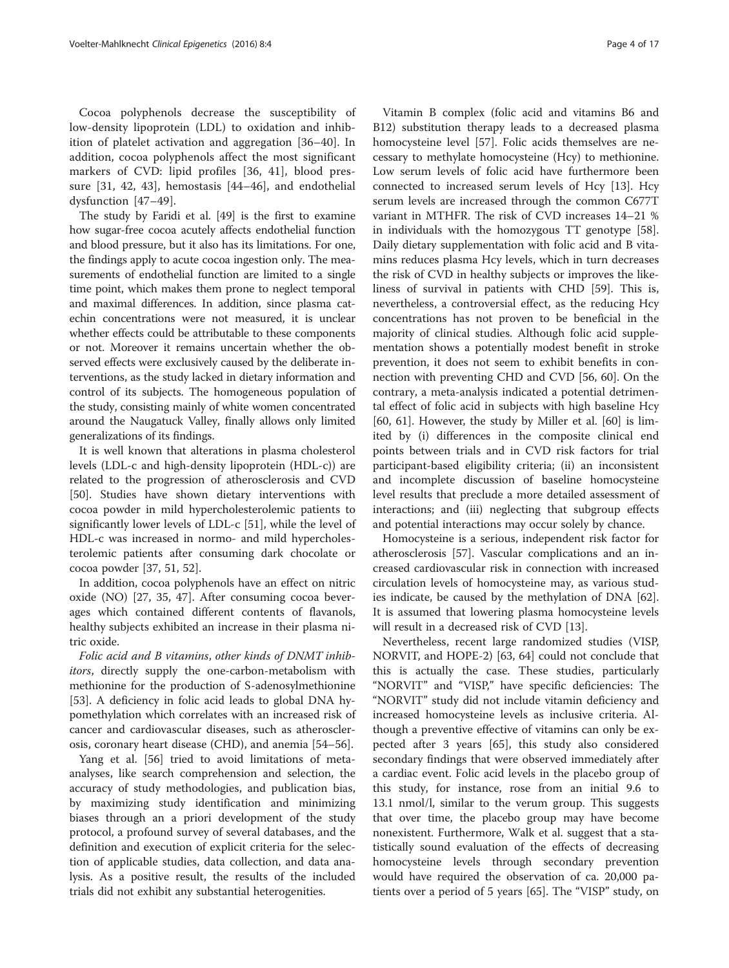Cocoa polyphenols decrease the susceptibility of low-density lipoprotein (LDL) to oxidation and inhibition of platelet activation and aggregation [\[36](#page-12-0)–[40](#page-12-0)]. In addition, cocoa polyphenols affect the most significant markers of CVD: lipid profiles [[36, 41](#page-12-0)], blood pressure [[31](#page-12-0), [42, 43](#page-12-0)], hemostasis [[44](#page-12-0)–[46\]](#page-12-0), and endothelial dysfunction [[47](#page-12-0)–[49\]](#page-12-0).

The study by Faridi et al. [[49](#page-12-0)] is the first to examine how sugar-free cocoa acutely affects endothelial function and blood pressure, but it also has its limitations. For one, the findings apply to acute cocoa ingestion only. The measurements of endothelial function are limited to a single time point, which makes them prone to neglect temporal and maximal differences. In addition, since plasma catechin concentrations were not measured, it is unclear whether effects could be attributable to these components or not. Moreover it remains uncertain whether the observed effects were exclusively caused by the deliberate interventions, as the study lacked in dietary information and control of its subjects. The homogeneous population of the study, consisting mainly of white women concentrated around the Naugatuck Valley, finally allows only limited generalizations of its findings.

It is well known that alterations in plasma cholesterol levels (LDL-c and high-density lipoprotein (HDL-c)) are related to the progression of atherosclerosis and CVD [[50\]](#page-12-0). Studies have shown dietary interventions with cocoa powder in mild hypercholesterolemic patients to significantly lower levels of LDL-c [[51](#page-12-0)], while the level of HDL-c was increased in normo- and mild hypercholesterolemic patients after consuming dark chocolate or cocoa powder [[37](#page-12-0), [51](#page-12-0), [52](#page-12-0)].

In addition, cocoa polyphenols have an effect on nitric oxide (NO) [[27](#page-12-0), [35, 47\]](#page-12-0). After consuming cocoa beverages which contained different contents of flavanols, healthy subjects exhibited an increase in their plasma nitric oxide.

Folic acid and B vitamins, other kinds of DNMT inhibitors, directly supply the one-carbon-metabolism with methionine for the production of S-adenosylmethionine [[53\]](#page-12-0). A deficiency in folic acid leads to global DNA hypomethylation which correlates with an increased risk of cancer and cardiovascular diseases, such as atherosclerosis, coronary heart disease (CHD), and anemia [\[54](#page-12-0)–[56\]](#page-12-0).

Yang et al. [[56\]](#page-12-0) tried to avoid limitations of metaanalyses, like search comprehension and selection, the accuracy of study methodologies, and publication bias, by maximizing study identification and minimizing biases through an a priori development of the study protocol, a profound survey of several databases, and the definition and execution of explicit criteria for the selection of applicable studies, data collection, and data analysis. As a positive result, the results of the included trials did not exhibit any substantial heterogenities.

Vitamin B complex (folic acid and vitamins B6 and B12) substitution therapy leads to a decreased plasma homocysteine level [\[57](#page-12-0)]. Folic acids themselves are necessary to methylate homocysteine (Hcy) to methionine. Low serum levels of folic acid have furthermore been connected to increased serum levels of Hcy [\[13](#page-12-0)]. Hcy serum levels are increased through the common C677T variant in MTHFR. The risk of CVD increases 14–21 % in individuals with the homozygous TT genotype [\[58](#page-12-0)]. Daily dietary supplementation with folic acid and B vitamins reduces plasma Hcy levels, which in turn decreases the risk of CVD in healthy subjects or improves the likeliness of survival in patients with CHD [\[59\]](#page-13-0). This is, nevertheless, a controversial effect, as the reducing Hcy concentrations has not proven to be beneficial in the majority of clinical studies. Although folic acid supplementation shows a potentially modest benefit in stroke prevention, it does not seem to exhibit benefits in connection with preventing CHD and CVD [\[56,](#page-12-0) [60\]](#page-13-0). On the contrary, a meta-analysis indicated a potential detrimental effect of folic acid in subjects with high baseline Hcy [[60, 61](#page-13-0)]. However, the study by Miller et al. [\[60\]](#page-13-0) is limited by (i) differences in the composite clinical end points between trials and in CVD risk factors for trial participant-based eligibility criteria; (ii) an inconsistent and incomplete discussion of baseline homocysteine level results that preclude a more detailed assessment of interactions; and (iii) neglecting that subgroup effects and potential interactions may occur solely by chance.

Homocysteine is a serious, independent risk factor for atherosclerosis [[57](#page-12-0)]. Vascular complications and an increased cardiovascular risk in connection with increased circulation levels of homocysteine may, as various studies indicate, be caused by the methylation of DNA [\[62](#page-13-0)]. It is assumed that lowering plasma homocysteine levels will result in a decreased risk of CVD [\[13\]](#page-12-0).

Nevertheless, recent large randomized studies (VISP, NORVIT, and HOPE-2) [\[63, 64\]](#page-13-0) could not conclude that this is actually the case. These studies, particularly "NORVIT" and "VISP," have specific deficiencies: The "NORVIT" study did not include vitamin deficiency and increased homocysteine levels as inclusive criteria. Although a preventive effective of vitamins can only be expected after 3 years [[65\]](#page-13-0), this study also considered secondary findings that were observed immediately after a cardiac event. Folic acid levels in the placebo group of this study, for instance, rose from an initial 9.6 to 13.1 nmol/l, similar to the verum group. This suggests that over time, the placebo group may have become nonexistent. Furthermore, Walk et al. suggest that a statistically sound evaluation of the effects of decreasing homocysteine levels through secondary prevention would have required the observation of ca. 20,000 patients over a period of 5 years [\[65\]](#page-13-0). The "VISP" study, on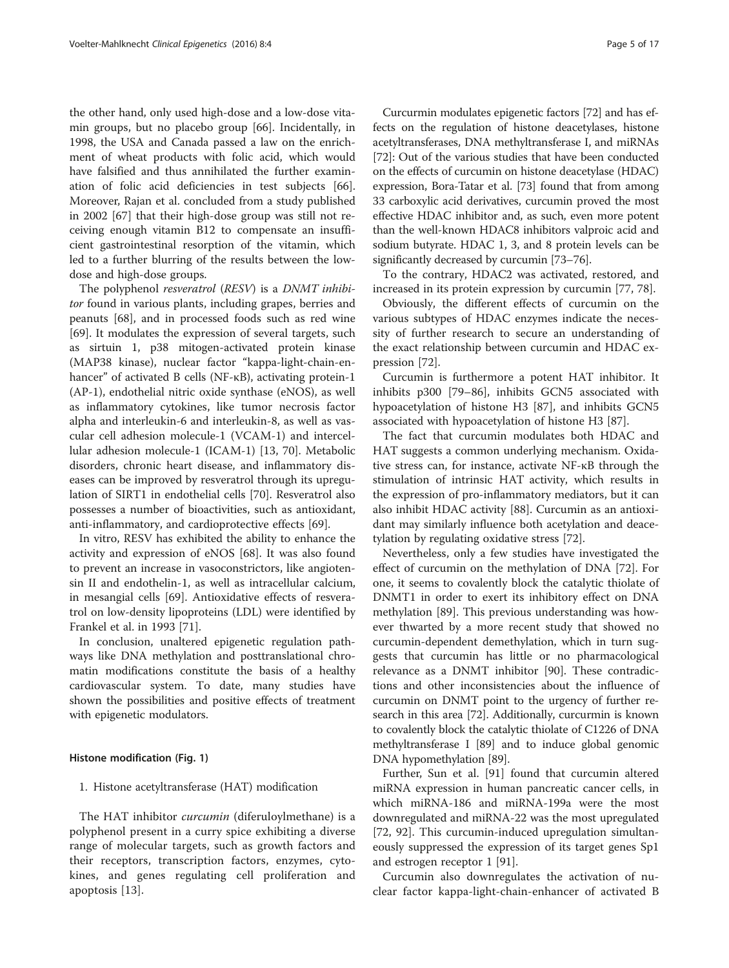the other hand, only used high-dose and a low-dose vitamin groups, but no placebo group [[66](#page-13-0)]. Incidentally, in 1998, the USA and Canada passed a law on the enrichment of wheat products with folic acid, which would have falsified and thus annihilated the further examination of folic acid deficiencies in test subjects [\[66](#page-13-0)]. Moreover, Rajan et al. concluded from a study published in 2002 [[67](#page-13-0)] that their high-dose group was still not receiving enough vitamin B12 to compensate an insufficient gastrointestinal resorption of the vitamin, which led to a further blurring of the results between the lowdose and high-dose groups.

The polyphenol *resveratrol* (RESV) is a DNMT inhibitor found in various plants, including grapes, berries and peanuts [[68\]](#page-13-0), and in processed foods such as red wine [[69\]](#page-13-0). It modulates the expression of several targets, such as sirtuin 1, p38 mitogen-activated protein kinase (MAP38 kinase), nuclear factor "kappa-light-chain-enhancer" of activated B cells (NF-κB), activating protein-1 (AP-1), endothelial nitric oxide synthase (eNOS), as well as inflammatory cytokines, like tumor necrosis factor alpha and interleukin-6 and interleukin-8, as well as vascular cell adhesion molecule-1 (VCAM-1) and intercellular adhesion molecule-1 (ICAM-1) [\[13](#page-12-0), [70\]](#page-13-0). Metabolic disorders, chronic heart disease, and inflammatory diseases can be improved by resveratrol through its upregulation of SIRT1 in endothelial cells [\[70\]](#page-13-0). Resveratrol also possesses a number of bioactivities, such as antioxidant, anti-inflammatory, and cardioprotective effects [[69\]](#page-13-0).

In vitro, RESV has exhibited the ability to enhance the activity and expression of eNOS [[68\]](#page-13-0). It was also found to prevent an increase in vasoconstrictors, like angiotensin II and endothelin-1, as well as intracellular calcium, in mesangial cells [[69\]](#page-13-0). Antioxidative effects of resveratrol on low-density lipoproteins (LDL) were identified by Frankel et al. in 1993 [\[71](#page-13-0)].

In conclusion, unaltered epigenetic regulation pathways like DNA methylation and posttranslational chromatin modifications constitute the basis of a healthy cardiovascular system. To date, many studies have shown the possibilities and positive effects of treatment with epigenetic modulators.

### Histone modification (Fig. [1\)](#page-1-0)

### 1. Histone acetyltransferase (HAT) modification

The HAT inhibitor *curcumin* (diferuloylmethane) is a polyphenol present in a curry spice exhibiting a diverse range of molecular targets, such as growth factors and their receptors, transcription factors, enzymes, cytokines, and genes regulating cell proliferation and apoptosis [[13](#page-12-0)].

Curcurmin modulates epigenetic factors [\[72\]](#page-13-0) and has effects on the regulation of histone deacetylases, histone acetyltransferases, DNA methyltransferase I, and miRNAs [[72](#page-13-0)]: Out of the various studies that have been conducted on the effects of curcumin on histone deacetylase (HDAC) expression, Bora-Tatar et al. [\[73\]](#page-13-0) found that from among 33 carboxylic acid derivatives, curcumin proved the most effective HDAC inhibitor and, as such, even more potent than the well-known HDAC8 inhibitors valproic acid and sodium butyrate. HDAC 1, 3, and 8 protein levels can be significantly decreased by curcumin [\[73](#page-13-0)–[76](#page-13-0)].

To the contrary, HDAC2 was activated, restored, and increased in its protein expression by curcumin [[77, 78\]](#page-13-0).

Obviously, the different effects of curcumin on the various subtypes of HDAC enzymes indicate the necessity of further research to secure an understanding of the exact relationship between curcumin and HDAC expression [[72\]](#page-13-0).

Curcumin is furthermore a potent HAT inhibitor. It inhibits p300 [\[79](#page-13-0)–[86\]](#page-13-0), inhibits GCN5 associated with hypoacetylation of histone H3 [[87\]](#page-13-0), and inhibits GCN5 associated with hypoacetylation of histone H3 [\[87\]](#page-13-0).

The fact that curcumin modulates both HDAC and HAT suggests a common underlying mechanism. Oxidative stress can, for instance, activate NF-κB through the stimulation of intrinsic HAT activity, which results in the expression of pro-inflammatory mediators, but it can also inhibit HDAC activity [[88\]](#page-13-0). Curcumin as an antioxidant may similarly influence both acetylation and deacetylation by regulating oxidative stress [\[72\]](#page-13-0).

Nevertheless, only a few studies have investigated the effect of curcumin on the methylation of DNA [\[72\]](#page-13-0). For one, it seems to covalently block the catalytic thiolate of DNMT1 in order to exert its inhibitory effect on DNA methylation [[89\]](#page-13-0). This previous understanding was however thwarted by a more recent study that showed no curcumin-dependent demethylation, which in turn suggests that curcumin has little or no pharmacological relevance as a DNMT inhibitor [[90\]](#page-13-0). These contradictions and other inconsistencies about the influence of curcumin on DNMT point to the urgency of further research in this area [[72](#page-13-0)]. Additionally, curcurmin is known to covalently block the catalytic thiolate of C1226 of DNA methyltransferase I [\[89\]](#page-13-0) and to induce global genomic DNA hypomethylation [[89](#page-13-0)].

Further, Sun et al. [\[91](#page-13-0)] found that curcumin altered miRNA expression in human pancreatic cancer cells, in which miRNA-186 and miRNA-199a were the most downregulated and miRNA-22 was the most upregulated [[72, 92\]](#page-13-0). This curcumin-induced upregulation simultaneously suppressed the expression of its target genes Sp1 and estrogen receptor 1 [\[91](#page-13-0)].

Curcumin also downregulates the activation of nuclear factor kappa-light-chain-enhancer of activated B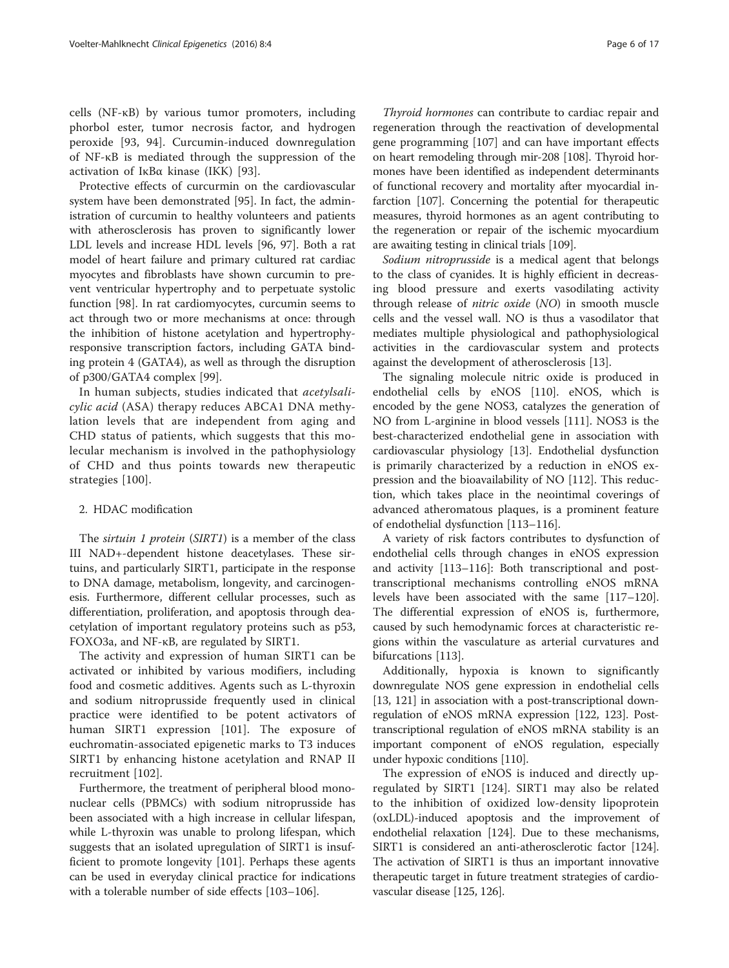cells (NF-κB) by various tumor promoters, including phorbol ester, tumor necrosis factor, and hydrogen peroxide [[93, 94\]](#page-13-0). Curcumin-induced downregulation of NF-κB is mediated through the suppression of the activation of IκBα kinase (IKK) [\[93](#page-13-0)].

Protective effects of curcurmin on the cardiovascular system have been demonstrated [\[95](#page-13-0)]. In fact, the administration of curcumin to healthy volunteers and patients with atherosclerosis has proven to significantly lower LDL levels and increase HDL levels [\[96](#page-13-0), [97\]](#page-13-0). Both a rat model of heart failure and primary cultured rat cardiac myocytes and fibroblasts have shown curcumin to prevent ventricular hypertrophy and to perpetuate systolic function [[98](#page-13-0)]. In rat cardiomyocytes, curcumin seems to act through two or more mechanisms at once: through the inhibition of histone acetylation and hypertrophyresponsive transcription factors, including GATA binding protein 4 (GATA4), as well as through the disruption of p300/GATA4 complex [\[99](#page-13-0)].

In human subjects, studies indicated that acetylsalicylic acid (ASA) therapy reduces ABCA1 DNA methylation levels that are independent from aging and CHD status of patients, which suggests that this molecular mechanism is involved in the pathophysiology of CHD and thus points towards new therapeutic strategies [[100](#page-13-0)].

### 2. HDAC modification

The *sirtuin 1 protein* (SIRT1) is a member of the class III NAD+-dependent histone deacetylases. These sirtuins, and particularly SIRT1, participate in the response to DNA damage, metabolism, longevity, and carcinogenesis. Furthermore, different cellular processes, such as differentiation, proliferation, and apoptosis through deacetylation of important regulatory proteins such as p53, FOXO3a, and NF-κB, are regulated by SIRT1.

The activity and expression of human SIRT1 can be activated or inhibited by various modifiers, including food and cosmetic additives. Agents such as L-thyroxin and sodium nitroprusside frequently used in clinical practice were identified to be potent activators of human SIRT1 expression [[101\]](#page-14-0). The exposure of euchromatin-associated epigenetic marks to T3 induces SIRT1 by enhancing histone acetylation and RNAP II recruitment [\[102](#page-14-0)].

Furthermore, the treatment of peripheral blood mononuclear cells (PBMCs) with sodium nitroprusside has been associated with a high increase in cellular lifespan, while L-thyroxin was unable to prolong lifespan, which suggests that an isolated upregulation of SIRT1 is insufficient to promote longevity [\[101\]](#page-14-0). Perhaps these agents can be used in everyday clinical practice for indications with a tolerable number of side effects [\[103](#page-14-0)–[106\]](#page-14-0).

Thyroid hormones can contribute to cardiac repair and regeneration through the reactivation of developmental gene programming [\[107\]](#page-14-0) and can have important effects on heart remodeling through mir-208 [\[108](#page-14-0)]. Thyroid hormones have been identified as independent determinants of functional recovery and mortality after myocardial infarction [[107](#page-14-0)]. Concerning the potential for therapeutic measures, thyroid hormones as an agent contributing to the regeneration or repair of the ischemic myocardium are awaiting testing in clinical trials [\[109\]](#page-14-0).

Sodium nitroprusside is a medical agent that belongs to the class of cyanides. It is highly efficient in decreasing blood pressure and exerts vasodilating activity through release of nitric oxide (NO) in smooth muscle cells and the vessel wall. NO is thus a vasodilator that mediates multiple physiological and pathophysiological activities in the cardiovascular system and protects against the development of atherosclerosis [[13](#page-12-0)].

The signaling molecule nitric oxide is produced in endothelial cells by eNOS [[110\]](#page-14-0). eNOS, which is encoded by the gene NOS3, catalyzes the generation of NO from L-arginine in blood vessels [[111\]](#page-14-0). NOS3 is the best-characterized endothelial gene in association with cardiovascular physiology [[13](#page-12-0)]. Endothelial dysfunction is primarily characterized by a reduction in eNOS expression and the bioavailability of NO [[112](#page-14-0)]. This reduction, which takes place in the neointimal coverings of advanced atheromatous plaques, is a prominent feature of endothelial dysfunction [\[113](#page-14-0)–[116\]](#page-14-0).

A variety of risk factors contributes to dysfunction of endothelial cells through changes in eNOS expression and activity [\[113](#page-14-0)–[116\]](#page-14-0): Both transcriptional and posttranscriptional mechanisms controlling eNOS mRNA levels have been associated with the same [[117](#page-14-0)–[120](#page-14-0)]. The differential expression of eNOS is, furthermore, caused by such hemodynamic forces at characteristic regions within the vasculature as arterial curvatures and bifurcations [\[113\]](#page-14-0).

Additionally, hypoxia is known to significantly downregulate NOS gene expression in endothelial cells [[13](#page-12-0), [121](#page-14-0)] in association with a post-transcriptional downregulation of eNOS mRNA expression [\[122](#page-14-0), [123](#page-14-0)]. Posttranscriptional regulation of eNOS mRNA stability is an important component of eNOS regulation, especially under hypoxic conditions [\[110\]](#page-14-0).

The expression of eNOS is induced and directly upregulated by SIRT1 [[124\]](#page-14-0). SIRT1 may also be related to the inhibition of oxidized low-density lipoprotein (oxLDL)-induced apoptosis and the improvement of endothelial relaxation [[124](#page-14-0)]. Due to these mechanisms, SIRT1 is considered an anti-atherosclerotic factor [[124](#page-14-0)]. The activation of SIRT1 is thus an important innovative therapeutic target in future treatment strategies of cardiovascular disease [\[125](#page-14-0), [126](#page-14-0)].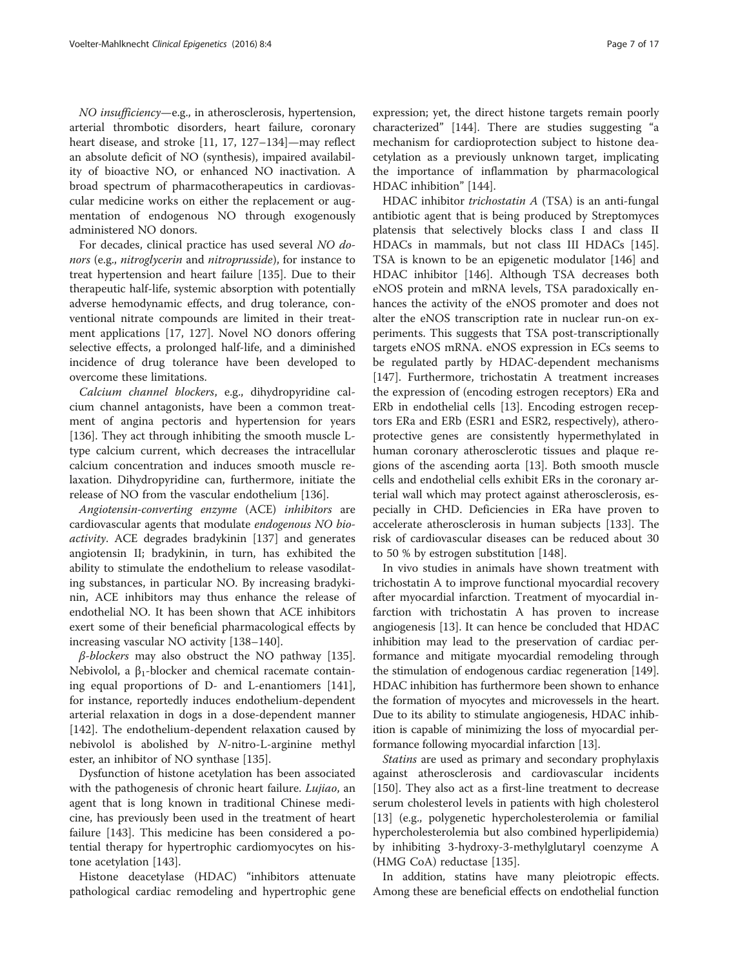NO insufficiency—e.g., in atherosclerosis, hypertension, arterial thrombotic disorders, heart failure, coronary heart disease, and stroke [[11,](#page-11-0) [17](#page-12-0), [127](#page-14-0)–[134](#page-14-0)]—may reflect an absolute deficit of NO (synthesis), impaired availability of bioactive NO, or enhanced NO inactivation. A broad spectrum of pharmacotherapeutics in cardiovascular medicine works on either the replacement or augmentation of endogenous NO through exogenously administered NO donors.

For decades, clinical practice has used several NO donors (e.g., nitroglycerin and nitroprusside), for instance to treat hypertension and heart failure [[135\]](#page-14-0). Due to their therapeutic half-life, systemic absorption with potentially adverse hemodynamic effects, and drug tolerance, conventional nitrate compounds are limited in their treatment applications [\[17](#page-12-0), [127](#page-14-0)]. Novel NO donors offering selective effects, a prolonged half-life, and a diminished incidence of drug tolerance have been developed to overcome these limitations.

Calcium channel blockers, e.g., dihydropyridine calcium channel antagonists, have been a common treatment of angina pectoris and hypertension for years [[136\]](#page-14-0). They act through inhibiting the smooth muscle Ltype calcium current, which decreases the intracellular calcium concentration and induces smooth muscle relaxation. Dihydropyridine can, furthermore, initiate the release of NO from the vascular endothelium [[136\]](#page-14-0).

Angiotensin-converting enzyme (ACE) inhibitors are cardiovascular agents that modulate endogenous NO bioactivity. ACE degrades bradykinin [[137](#page-14-0)] and generates angiotensin II; bradykinin, in turn, has exhibited the ability to stimulate the endothelium to release vasodilating substances, in particular NO. By increasing bradykinin, ACE inhibitors may thus enhance the release of endothelial NO. It has been shown that ACE inhibitors exert some of their beneficial pharmacological effects by increasing vascular NO activity [[138](#page-14-0)–[140\]](#page-14-0).

 $\beta$ -blockers may also obstruct the NO pathway [\[135](#page-14-0)]. Nebivolol, a  $β_1$ -blocker and chemical racemate containing equal proportions of D- and L-enantiomers [\[141](#page-14-0)], for instance, reportedly induces endothelium-dependent arterial relaxation in dogs in a dose-dependent manner [[142\]](#page-14-0). The endothelium-dependent relaxation caused by nebivolol is abolished by N-nitro-L-arginine methyl ester, an inhibitor of NO synthase [[135](#page-14-0)].

Dysfunction of histone acetylation has been associated with the pathogenesis of chronic heart failure. *Lujiao*, an agent that is long known in traditional Chinese medicine, has previously been used in the treatment of heart failure [[143\]](#page-14-0). This medicine has been considered a potential therapy for hypertrophic cardiomyocytes on histone acetylation [[143\]](#page-14-0).

Histone deacetylase (HDAC) "inhibitors attenuate pathological cardiac remodeling and hypertrophic gene

HDAC inhibitor *trichostatin A* (TSA) is an anti-fungal antibiotic agent that is being produced by Streptomyces platensis that selectively blocks class I and class II HDACs in mammals, but not class III HDACs [[145](#page-15-0)]. TSA is known to be an epigenetic modulator [[146\]](#page-15-0) and HDAC inhibitor [[146](#page-15-0)]. Although TSA decreases both eNOS protein and mRNA levels, TSA paradoxically enhances the activity of the eNOS promoter and does not alter the eNOS transcription rate in nuclear run-on experiments. This suggests that TSA post-transcriptionally targets eNOS mRNA. eNOS expression in ECs seems to be regulated partly by HDAC-dependent mechanisms [[147\]](#page-15-0). Furthermore, trichostatin A treatment increases the expression of (encoding estrogen receptors) ERa and ERb in endothelial cells [\[13\]](#page-12-0). Encoding estrogen receptors ERa and ERb (ESR1 and ESR2, respectively), atheroprotective genes are consistently hypermethylated in human coronary atherosclerotic tissues and plaque regions of the ascending aorta [\[13](#page-12-0)]. Both smooth muscle cells and endothelial cells exhibit ERs in the coronary arterial wall which may protect against atherosclerosis, especially in CHD. Deficiencies in ERa have proven to accelerate atherosclerosis in human subjects [\[133\]](#page-14-0). The risk of cardiovascular diseases can be reduced about 30 to 50 % by estrogen substitution [\[148\]](#page-15-0).

In vivo studies in animals have shown treatment with trichostatin A to improve functional myocardial recovery after myocardial infarction. Treatment of myocardial infarction with trichostatin A has proven to increase angiogenesis [\[13\]](#page-12-0). It can hence be concluded that HDAC inhibition may lead to the preservation of cardiac performance and mitigate myocardial remodeling through the stimulation of endogenous cardiac regeneration [[149](#page-15-0)]. HDAC inhibition has furthermore been shown to enhance the formation of myocytes and microvessels in the heart. Due to its ability to stimulate angiogenesis, HDAC inhibition is capable of minimizing the loss of myocardial performance following myocardial infarction [[13](#page-12-0)].

Statins are used as primary and secondary prophylaxis against atherosclerosis and cardiovascular incidents [[150\]](#page-15-0). They also act as a first-line treatment to decrease serum cholesterol levels in patients with high cholesterol [[13\]](#page-12-0) (e.g., polygenetic hypercholesterolemia or familial hypercholesterolemia but also combined hyperlipidemia) by inhibiting 3-hydroxy-3-methylglutaryl coenzyme A (HMG CoA) reductase [[135](#page-14-0)].

In addition, statins have many pleiotropic effects. Among these are beneficial effects on endothelial function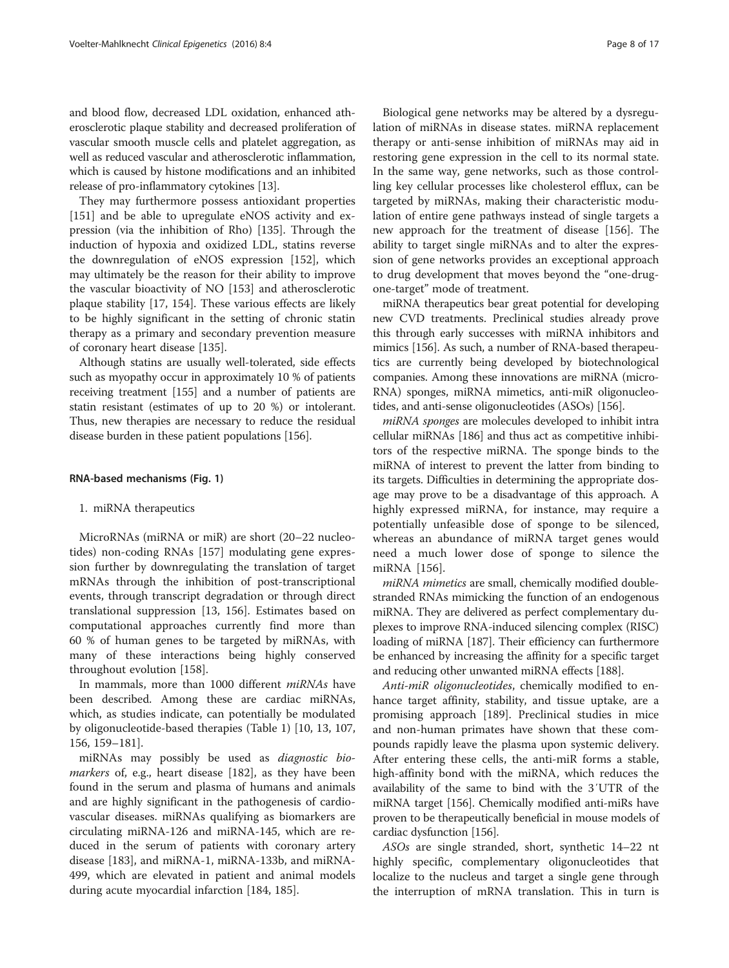and blood flow, decreased LDL oxidation, enhanced atherosclerotic plaque stability and decreased proliferation of vascular smooth muscle cells and platelet aggregation, as well as reduced vascular and atherosclerotic inflammation, which is caused by histone modifications and an inhibited release of pro-inflammatory cytokines [[13](#page-12-0)].

They may furthermore possess antioxidant properties [[151\]](#page-15-0) and be able to upregulate eNOS activity and expression (via the inhibition of Rho) [\[135](#page-14-0)]. Through the induction of hypoxia and oxidized LDL, statins reverse the downregulation of eNOS expression [\[152](#page-15-0)], which may ultimately be the reason for their ability to improve the vascular bioactivity of NO [[153\]](#page-15-0) and atherosclerotic plaque stability [\[17](#page-12-0), [154](#page-15-0)]. These various effects are likely to be highly significant in the setting of chronic statin therapy as a primary and secondary prevention measure of coronary heart disease [\[135](#page-14-0)].

Although statins are usually well-tolerated, side effects such as myopathy occur in approximately 10 % of patients receiving treatment [[155](#page-15-0)] and a number of patients are statin resistant (estimates of up to 20 %) or intolerant. Thus, new therapies are necessary to reduce the residual disease burden in these patient populations [\[156\]](#page-15-0).

### RNA-based mechanisms (Fig. [1](#page-1-0))

### 1. miRNA therapeutics

MicroRNAs (miRNA or miR) are short (20–22 nucleotides) non-coding RNAs [\[157](#page-15-0)] modulating gene expression further by downregulating the translation of target mRNAs through the inhibition of post-transcriptional events, through transcript degradation or through direct translational suppression [[13,](#page-12-0) [156](#page-15-0)]. Estimates based on computational approaches currently find more than 60 % of human genes to be targeted by miRNAs, with many of these interactions being highly conserved throughout evolution [\[158\]](#page-15-0).

In mammals, more than 1000 different miRNAs have been described. Among these are cardiac miRNAs, which, as studies indicate, can potentially be modulated by oligonucleotide-based therapies (Table [1](#page-8-0)) [[10,](#page-11-0) [13,](#page-12-0) [107](#page-14-0), [156](#page-15-0), [159](#page-15-0)–[181\]](#page-15-0).

miRNAs may possibly be used as diagnostic bio-markers of, e.g., heart disease [[182](#page-15-0)], as they have been found in the serum and plasma of humans and animals and are highly significant in the pathogenesis of cardiovascular diseases. miRNAs qualifying as biomarkers are circulating miRNA-126 and miRNA-145, which are reduced in the serum of patients with coronary artery disease [[183](#page-15-0)], and miRNA-1, miRNA-133b, and miRNA-499, which are elevated in patient and animal models during acute myocardial infarction [[184](#page-15-0), [185](#page-15-0)].

Biological gene networks may be altered by a dysregulation of miRNAs in disease states. miRNA replacement therapy or anti-sense inhibition of miRNAs may aid in restoring gene expression in the cell to its normal state. In the same way, gene networks, such as those controlling key cellular processes like cholesterol efflux, can be targeted by miRNAs, making their characteristic modulation of entire gene pathways instead of single targets a new approach for the treatment of disease [\[156](#page-15-0)]. The ability to target single miRNAs and to alter the expression of gene networks provides an exceptional approach to drug development that moves beyond the "one-drugone-target" mode of treatment.

miRNA therapeutics bear great potential for developing new CVD treatments. Preclinical studies already prove this through early successes with miRNA inhibitors and mimics [[156](#page-15-0)]. As such, a number of RNA-based therapeutics are currently being developed by biotechnological companies. Among these innovations are miRNA (micro-RNA) sponges, miRNA mimetics, anti-miR oligonucleotides, and anti-sense oligonucleotides (ASOs) [\[156](#page-15-0)].

miRNA sponges are molecules developed to inhibit intra cellular miRNAs [[186](#page-15-0)] and thus act as competitive inhibitors of the respective miRNA. The sponge binds to the miRNA of interest to prevent the latter from binding to its targets. Difficulties in determining the appropriate dosage may prove to be a disadvantage of this approach. A highly expressed miRNA, for instance, may require a potentially unfeasible dose of sponge to be silenced, whereas an abundance of miRNA target genes would need a much lower dose of sponge to silence the miRNA [[156\]](#page-15-0).

miRNA mimetics are small, chemically modified doublestranded RNAs mimicking the function of an endogenous miRNA. They are delivered as perfect complementary duplexes to improve RNA-induced silencing complex (RISC) loading of miRNA [[187](#page-15-0)]. Their efficiency can furthermore be enhanced by increasing the affinity for a specific target and reducing other unwanted miRNA effects [\[188\]](#page-16-0).

Anti-miR oligonucleotides, chemically modified to enhance target affinity, stability, and tissue uptake, are a promising approach [[189\]](#page-16-0). Preclinical studies in mice and non-human primates have shown that these compounds rapidly leave the plasma upon systemic delivery. After entering these cells, the anti-miR forms a stable, high-affinity bond with the miRNA, which reduces the availability of the same to bind with the 3′UTR of the miRNA target [\[156\]](#page-15-0). Chemically modified anti-miRs have proven to be therapeutically beneficial in mouse models of cardiac dysfunction [\[156\]](#page-15-0).

ASOs are single stranded, short, synthetic 14–22 nt highly specific, complementary oligonucleotides that localize to the nucleus and target a single gene through the interruption of mRNA translation. This in turn is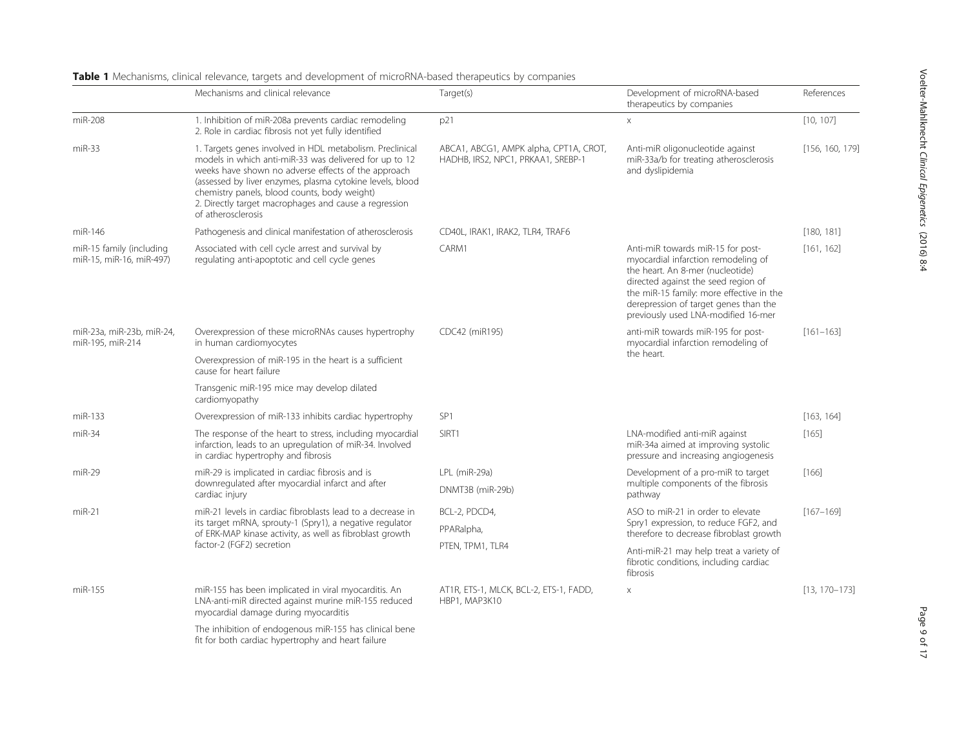|                                                      | Mechanisms and clinical relevance                                                                                                                                                                                                                                                                                                                                     | Target(s)                                                                    | Development of microRNA-based<br>therapeutics by companies                                                                                                                                                                                                                      | References        |
|------------------------------------------------------|-----------------------------------------------------------------------------------------------------------------------------------------------------------------------------------------------------------------------------------------------------------------------------------------------------------------------------------------------------------------------|------------------------------------------------------------------------------|---------------------------------------------------------------------------------------------------------------------------------------------------------------------------------------------------------------------------------------------------------------------------------|-------------------|
| miR-208                                              | 1. Inhibition of miR-208a prevents cardiac remodeling<br>2. Role in cardiac fibrosis not yet fully identified                                                                                                                                                                                                                                                         | p21                                                                          | $\mathsf X$                                                                                                                                                                                                                                                                     | [10, 107]         |
| $miR-33$                                             | 1. Targets genes involved in HDL metabolism. Preclinical<br>models in which anti-miR-33 was delivered for up to 12<br>weeks have shown no adverse effects of the approach<br>(assessed by liver enzymes, plasma cytokine levels, blood<br>chemistry panels, blood counts, body weight)<br>2. Directly target macrophages and cause a regression<br>of atherosclerosis | ABCA1, ABCG1, AMPK alpha, CPT1A, CROT,<br>HADHB, IRS2, NPC1, PRKAA1, SREBP-1 | Anti-miR oligonucleotide against<br>miR-33a/b for treating atherosclerosis<br>and dyslipidemia                                                                                                                                                                                  | [156, 160, 179]   |
| $miR-146$                                            | Pathogenesis and clinical manifestation of atherosclerosis                                                                                                                                                                                                                                                                                                            | CD40L, IRAK1, IRAK2, TLR4, TRAF6                                             |                                                                                                                                                                                                                                                                                 | [180, 181]        |
| miR-15 family (including<br>miR-15, miR-16, miR-497) | Associated with cell cycle arrest and survival by<br>regulating anti-apoptotic and cell cycle genes                                                                                                                                                                                                                                                                   | CARM1                                                                        | Anti-miR towards miR-15 for post-<br>myocardial infarction remodeling of<br>the heart. An 8-mer (nucleotide)<br>directed against the seed region of<br>the miR-15 family: more effective in the<br>derepression of target genes than the<br>previously used LNA-modified 16-mer | [161, 162]        |
| miR-23a, miR-23b, miR-24,<br>miR-195, miR-214        | Overexpression of these microRNAs causes hypertrophy<br>in human cardiomyocytes                                                                                                                                                                                                                                                                                       | CDC42 (miR195)                                                               | anti-miR towards miR-195 for post-<br>myocardial infarction remodeling of<br>the heart.                                                                                                                                                                                         | $[161 - 163]$     |
|                                                      | Overexpression of miR-195 in the heart is a sufficient<br>cause for heart failure                                                                                                                                                                                                                                                                                     |                                                                              |                                                                                                                                                                                                                                                                                 |                   |
|                                                      | Transgenic miR-195 mice may develop dilated<br>cardiomyopathy                                                                                                                                                                                                                                                                                                         |                                                                              |                                                                                                                                                                                                                                                                                 |                   |
| miR-133                                              | Overexpression of miR-133 inhibits cardiac hypertrophy                                                                                                                                                                                                                                                                                                                | SP <sub>1</sub>                                                              |                                                                                                                                                                                                                                                                                 | [163, 164]        |
| $miR-34$                                             | The response of the heart to stress, including myocardial<br>infarction, leads to an upregulation of miR-34. Involved<br>in cardiac hypertrophy and fibrosis                                                                                                                                                                                                          | SIRT1                                                                        | LNA-modified anti-miR against<br>miR-34a aimed at improving systolic<br>pressure and increasing angiogenesis                                                                                                                                                                    | [165]             |
| $miR-29$                                             | miR-29 is implicated in cardiac fibrosis and is<br>downregulated after myocardial infarct and after<br>cardiac injury                                                                                                                                                                                                                                                 | LPL (miR-29a)                                                                | Development of a pro-miR to target<br>multiple components of the fibrosis<br>pathway                                                                                                                                                                                            | [166]             |
|                                                      |                                                                                                                                                                                                                                                                                                                                                                       | DNMT3B (miR-29b)                                                             |                                                                                                                                                                                                                                                                                 |                   |
| $miR-21$                                             | miR-21 levels in cardiac fibroblasts lead to a decrease in<br>its target mRNA, sprouty-1 (Spry1), a negative regulator<br>of ERK-MAP kinase activity, as well as fibroblast growth<br>factor-2 (FGF2) secretion                                                                                                                                                       | BCL-2, PDCD4,                                                                | ASO to miR-21 in order to elevate<br>Spry1 expression, to reduce FGF2, and<br>therefore to decrease fibroblast growth<br>Anti-miR-21 may help treat a variety of<br>fibrotic conditions, including cardiac<br>fibrosis                                                          | $[167 - 169]$     |
|                                                      |                                                                                                                                                                                                                                                                                                                                                                       | PPARalpha,                                                                   |                                                                                                                                                                                                                                                                                 |                   |
|                                                      |                                                                                                                                                                                                                                                                                                                                                                       | PTEN, TPM1, TLR4                                                             |                                                                                                                                                                                                                                                                                 |                   |
| miR-155                                              | miR-155 has been implicated in viral myocarditis. An<br>LNA-anti-miR directed against murine miR-155 reduced<br>myocardial damage during myocarditis                                                                                                                                                                                                                  | AT1R, ETS-1, MLCK, BCL-2, ETS-1, FADD,<br>HBP1, MAP3K10                      | X                                                                                                                                                                                                                                                                               | $[13, 170 - 173]$ |

# <span id="page-8-0"></span>Table 1 Mechanisms, clinical relevance, targets and development of microRNA-based therapeutics by companies<br>Mechanisms and clinical relevance

The inhibition of endogenous miR-155 has clinical bene fit for both cardiac hypertrophy and heart failure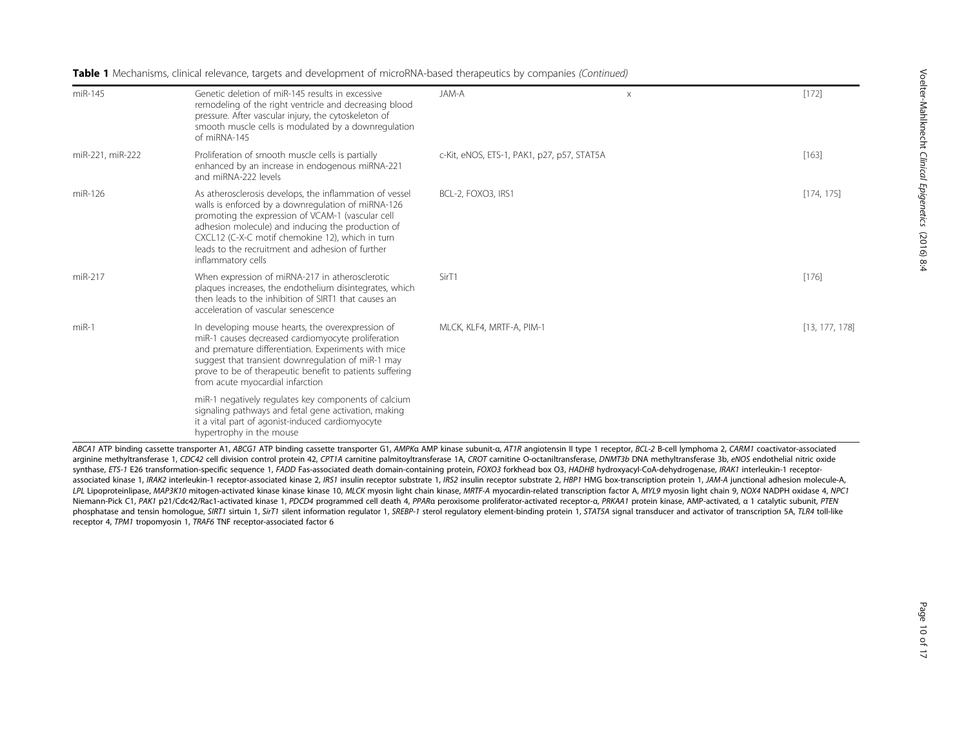| miR-145          | Genetic deletion of miR-145 results in excessive<br>remodeling of the right ventricle and decreasing blood<br>pressure. After vascular injury, the cytoskeleton of<br>smooth muscle cells is modulated by a downregulation<br>of miRNA-145                                                                                                            | JAM-A                                      | X | [172]          |
|------------------|-------------------------------------------------------------------------------------------------------------------------------------------------------------------------------------------------------------------------------------------------------------------------------------------------------------------------------------------------------|--------------------------------------------|---|----------------|
| miR-221, miR-222 | Proliferation of smooth muscle cells is partially<br>enhanced by an increase in endogenous miRNA-221<br>and miRNA-222 levels                                                                                                                                                                                                                          | c-Kit, eNOS, ETS-1, PAK1, p27, p57, STAT5A |   | [163]          |
| miR-126          | As atherosclerosis develops, the inflammation of vessel<br>walls is enforced by a downregulation of miRNA-126<br>promoting the expression of VCAM-1 (vascular cell<br>adhesion molecule) and inducing the production of<br>CXCL12 (C-X-C motif chemokine 12), which in turn<br>leads to the recruitment and adhesion of further<br>inflammatory cells | BCL-2, FOXO3, IRS1                         |   | [174, 175]     |
| miR-217          | When expression of miRNA-217 in atherosclerotic<br>plaques increases, the endothelium disintegrates, which<br>then leads to the inhibition of SIRT1 that causes an<br>acceleration of vascular senescence                                                                                                                                             | SirT1                                      |   | [176]          |
| $miR-1$          | In developing mouse hearts, the overexpression of<br>miR-1 causes decreased cardiomyocyte proliferation<br>and premature differentiation. Experiments with mice<br>suggest that transient downregulation of miR-1 may<br>prove to be of therapeutic benefit to patients suffering<br>from acute myocardial infarction                                 | MLCK, KLF4, MRTF-A, PIM-1                  |   | [13, 177, 178] |
|                  | miR-1 negatively regulates key components of calcium<br>signaling pathways and fetal gene activation, making<br>it a vital part of agonist-induced cardiomyocyte<br>hypertrophy in the mouse                                                                                                                                                          |                                            |   |                |

Table 1 Mechanisms, clinical relevance, targets and development of microRNA-based therapeutics by companies (Continued)

ABCA1 ATP binding cassette transporter A1, ABCG1 ATP binding cassette transporter G1, AMPKa AMP kinase subunit-a, AT1R angiotensin II type 1 receptor, BCL-2 B-cell lymphoma 2, CARM1 coactivator-associated<br>arqinine methyltr synthase. ETS-1 E26 transformation-specific sequence 1, FADD Fas-associated death domain-containing protein. FOXO3 forkhead box O3, HADHB hydroxyacyl-CoA-denydrogenase, IRAK1 interleukin-1 receptorsynthase, ETS-1 E26 transformation-specific sequence 1, FADD Fas-associated death domain-containing protein, FOXO3 forkhead box O3, HADHB hydroxyacyl-CoA-dehydrogenase, IRAK1 interleukin-1 receptor-<br>associated kinase 1 IRA associated kinase 1, IRAK2 interleukin-1 receptor-associated kinase 2, IRS1 insulin receptor substrate 1, IRS2 insulin receptor substrate 2, HBP1 HMG box-transcription protein 1, JAM-A junctional adhesion molecule-A,<br>UPL L LPL Lipoproteinlipase, MAP3K10 mitogen-activated kinase kinase kinase 10, MLCK myosin light chain Rearge, MRTF-A myocardin-related transcription factor A, MYL9 myosin light chain 9, NOX4 NADPH oxidase 4, NPC1 Niemann-Pick C1, PAK1 p21/Cdc42/Rac1-activated kinase 1, PDCD4 programmed cell death 4, PPARα peroxisome proliferator-activated receptor-α, PRKAA1 protein kinase, AMP-activated, α 1 catalytic subunit, PTEN phosphatase and tensin homologue, SIRT1 sirtuin 1, SirT1 silent information regulator 1, SREBP-1 sterol regulatory element-binding protein 1, STAT5A signal transducer and activator of transcription 5A, TLR4 toll-like receptor 4, TPM1 tropomyosin 1, TRAF6 TNF receptor-associated factor 6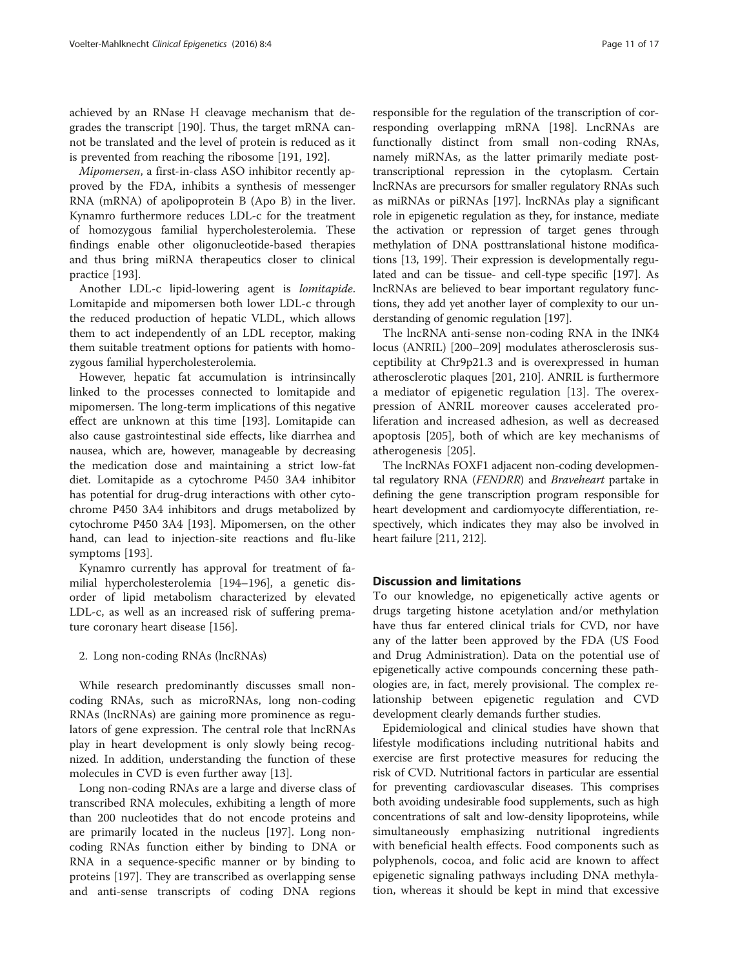achieved by an RNase H cleavage mechanism that degrades the transcript [\[190\]](#page-16-0). Thus, the target mRNA cannot be translated and the level of protein is reduced as it is prevented from reaching the ribosome [[191, 192](#page-16-0)].

Mipomersen, a first-in-class ASO inhibitor recently approved by the FDA, inhibits a synthesis of messenger RNA (mRNA) of apolipoprotein B (Apo B) in the liver. Kynamro furthermore reduces LDL-c for the treatment of homozygous familial hypercholesterolemia. These findings enable other oligonucleotide-based therapies and thus bring miRNA therapeutics closer to clinical practice [[193\]](#page-16-0).

Another LDL-c lipid-lowering agent is lomitapide. Lomitapide and mipomersen both lower LDL-c through the reduced production of hepatic VLDL, which allows them to act independently of an LDL receptor, making them suitable treatment options for patients with homozygous familial hypercholesterolemia.

However, hepatic fat accumulation is intrinsincally linked to the processes connected to lomitapide and mipomersen. The long-term implications of this negative effect are unknown at this time [[193\]](#page-16-0). Lomitapide can also cause gastrointestinal side effects, like diarrhea and nausea, which are, however, manageable by decreasing the medication dose and maintaining a strict low-fat diet. Lomitapide as a cytochrome P450 3A4 inhibitor has potential for drug-drug interactions with other cytochrome P450 3A4 inhibitors and drugs metabolized by cytochrome P450 3A4 [\[193](#page-16-0)]. Mipomersen, on the other hand, can lead to injection-site reactions and flu-like symptoms [[193](#page-16-0)].

Kynamro currently has approval for treatment of familial hypercholesterolemia [\[194](#page-16-0)–[196\]](#page-16-0), a genetic disorder of lipid metabolism characterized by elevated LDL-c, as well as an increased risk of suffering premature coronary heart disease [\[156\]](#page-15-0).

### 2. Long non-coding RNAs (lncRNAs)

While research predominantly discusses small noncoding RNAs, such as microRNAs, long non-coding RNAs (lncRNAs) are gaining more prominence as regulators of gene expression. The central role that lncRNAs play in heart development is only slowly being recognized. In addition, understanding the function of these molecules in CVD is even further away [[13\]](#page-12-0).

Long non-coding RNAs are a large and diverse class of transcribed RNA molecules, exhibiting a length of more than 200 nucleotides that do not encode proteins and are primarily located in the nucleus [\[197](#page-16-0)]. Long noncoding RNAs function either by binding to DNA or RNA in a sequence-specific manner or by binding to proteins [\[197\]](#page-16-0). They are transcribed as overlapping sense and anti-sense transcripts of coding DNA regions

responsible for the regulation of the transcription of corresponding overlapping mRNA [[198](#page-16-0)]. LncRNAs are functionally distinct from small non-coding RNAs, namely miRNAs, as the latter primarily mediate posttranscriptional repression in the cytoplasm. Certain lncRNAs are precursors for smaller regulatory RNAs such as miRNAs or piRNAs [\[197](#page-16-0)]. lncRNAs play a significant role in epigenetic regulation as they, for instance, mediate the activation or repression of target genes through methylation of DNA posttranslational histone modifications [[13](#page-12-0), [199](#page-16-0)]. Their expression is developmentally regulated and can be tissue- and cell-type specific [[197](#page-16-0)]. As lncRNAs are believed to bear important regulatory functions, they add yet another layer of complexity to our understanding of genomic regulation [[197](#page-16-0)].

The lncRNA anti-sense non-coding RNA in the INK4 locus (ANRIL) [\[200](#page-16-0)–[209\]](#page-16-0) modulates atherosclerosis susceptibility at Chr9p21.3 and is overexpressed in human atherosclerotic plaques [[201](#page-16-0), [210](#page-16-0)]. ANRIL is furthermore a mediator of epigenetic regulation [\[13](#page-12-0)]. The overexpression of ANRIL moreover causes accelerated proliferation and increased adhesion, as well as decreased apoptosis [\[205](#page-16-0)], both of which are key mechanisms of atherogenesis [\[205](#page-16-0)].

The lncRNAs FOXF1 adjacent non-coding developmental regulatory RNA (FENDRR) and Braveheart partake in defining the gene transcription program responsible for heart development and cardiomyocyte differentiation, respectively, which indicates they may also be involved in heart failure [[211](#page-16-0), [212](#page-16-0)].

### Discussion and limitations

To our knowledge, no epigenetically active agents or drugs targeting histone acetylation and/or methylation have thus far entered clinical trials for CVD, nor have any of the latter been approved by the FDA (US Food and Drug Administration). Data on the potential use of epigenetically active compounds concerning these pathologies are, in fact, merely provisional. The complex relationship between epigenetic regulation and CVD development clearly demands further studies.

Epidemiological and clinical studies have shown that lifestyle modifications including nutritional habits and exercise are first protective measures for reducing the risk of CVD. Nutritional factors in particular are essential for preventing cardiovascular diseases. This comprises both avoiding undesirable food supplements, such as high concentrations of salt and low-density lipoproteins, while simultaneously emphasizing nutritional ingredients with beneficial health effects. Food components such as polyphenols, cocoa, and folic acid are known to affect epigenetic signaling pathways including DNA methylation, whereas it should be kept in mind that excessive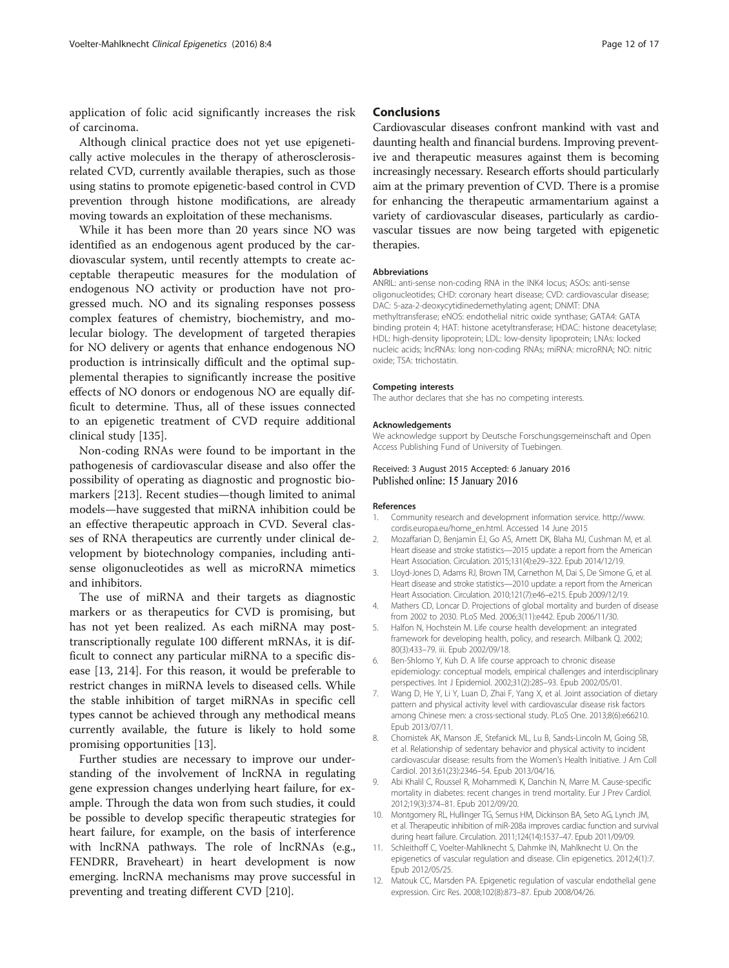<span id="page-11-0"></span>application of folic acid significantly increases the risk of carcinoma.

Although clinical practice does not yet use epigenetically active molecules in the therapy of atherosclerosisrelated CVD, currently available therapies, such as those using statins to promote epigenetic-based control in CVD prevention through histone modifications, are already moving towards an exploitation of these mechanisms.

While it has been more than 20 years since NO was identified as an endogenous agent produced by the cardiovascular system, until recently attempts to create acceptable therapeutic measures for the modulation of endogenous NO activity or production have not progressed much. NO and its signaling responses possess complex features of chemistry, biochemistry, and molecular biology. The development of targeted therapies for NO delivery or agents that enhance endogenous NO production is intrinsically difficult and the optimal supplemental therapies to significantly increase the positive effects of NO donors or endogenous NO are equally difficult to determine. Thus, all of these issues connected to an epigenetic treatment of CVD require additional clinical study [\[135](#page-14-0)].

Non-coding RNAs were found to be important in the pathogenesis of cardiovascular disease and also offer the possibility of operating as diagnostic and prognostic biomarkers [\[213\]](#page-16-0). Recent studies—though limited to animal models—have suggested that miRNA inhibition could be an effective therapeutic approach in CVD. Several classes of RNA therapeutics are currently under clinical development by biotechnology companies, including antisense oligonucleotides as well as microRNA mimetics and inhibitors.

The use of miRNA and their targets as diagnostic markers or as therapeutics for CVD is promising, but has not yet been realized. As each miRNA may posttranscriptionally regulate 100 different mRNAs, it is difficult to connect any particular miRNA to a specific disease [\[13](#page-12-0), [214\]](#page-16-0). For this reason, it would be preferable to restrict changes in miRNA levels to diseased cells. While the stable inhibition of target miRNAs in specific cell types cannot be achieved through any methodical means currently available, the future is likely to hold some promising opportunities [[13](#page-12-0)].

Further studies are necessary to improve our understanding of the involvement of lncRNA in regulating gene expression changes underlying heart failure, for example. Through the data won from such studies, it could be possible to develop specific therapeutic strategies for heart failure, for example, on the basis of interference with lncRNA pathways. The role of lncRNAs (e.g., FENDRR, Braveheart) in heart development is now emerging. lncRNA mechanisms may prove successful in preventing and treating different CVD [\[210\]](#page-16-0).

### **Conclusions**

Cardiovascular diseases confront mankind with vast and daunting health and financial burdens. Improving preventive and therapeutic measures against them is becoming increasingly necessary. Research efforts should particularly aim at the primary prevention of CVD. There is a promise for enhancing the therapeutic armamentarium against a variety of cardiovascular diseases, particularly as cardiovascular tissues are now being targeted with epigenetic therapies.

#### **Abbreviations**

ANRIL: anti-sense non-coding RNA in the INK4 locus; ASOs: anti-sense oligonucleotides; CHD: coronary heart disease; CVD: cardiovascular disease; DAC: 5-aza-2-deoxycytidinedemethylating agent; DNMT: DNA methyltransferase; eNOS: endothelial nitric oxide synthase; GATA4: GATA binding protein 4; HAT: histone acetyltransferase; HDAC: histone deacetylase; HDL: high-density lipoprotein; LDL: low-density lipoprotein; LNAs: locked nucleic acids; lncRNAs: long non-coding RNAs; miRNA: microRNA; NO: nitric oxide; TSA: trichostatin.

### Competing interests

The author declares that she has no competing interests.

### Acknowledgements

We acknowledge support by Deutsche Forschungsgemeinschaft and Open Access Publishing Fund of University of Tuebingen.

### Received: 3 August 2015 Accepted: 6 January 2016 Published online: 15 January 2016

### References

- 1. Community research and development information service. [http://www.](http://www.cordis.europa.eu/home_en.html) [cordis.europa.eu/home\\_en.html.](http://www.cordis.europa.eu/home_en.html) Accessed 14 June 2015
- 2. Mozaffarian D, Benjamin EJ, Go AS, Arnett DK, Blaha MJ, Cushman M, et al. Heart disease and stroke statistics—2015 update: a report from the American Heart Association. Circulation. 2015;131(4):e29–322. Epub 2014/12/19.
- 3. Lloyd-Jones D, Adams RJ, Brown TM, Carnethon M, Dai S, De Simone G, et al. Heart disease and stroke statistics—2010 update: a report from the American Heart Association. Circulation. 2010;121(7):e46–e215. Epub 2009/12/19.
- 4. Mathers CD, Loncar D. Projections of global mortality and burden of disease from 2002 to 2030. PLoS Med. 2006;3(11):e442. Epub 2006/11/30.
- 5. Halfon N, Hochstein M. Life course health development: an integrated framework for developing health, policy, and research. Milbank Q. 2002; 80(3):433–79. iii. Epub 2002/09/18.
- 6. Ben-Shlomo Y, Kuh D. A life course approach to chronic disease epidemiology: conceptual models, empirical challenges and interdisciplinary perspectives. Int J Epidemiol. 2002;31(2):285–93. Epub 2002/05/01.
- 7. Wang D, He Y, Li Y, Luan D, Zhai F, Yang X, et al. Joint association of dietary pattern and physical activity level with cardiovascular disease risk factors among Chinese men: a cross-sectional study. PLoS One. 2013;8(6):e66210. Epub 2013/07/11.
- 8. Chomistek AK, Manson JE, Stefanick ML, Lu B, Sands-Lincoln M, Going SB, et al. Relationship of sedentary behavior and physical activity to incident cardiovascular disease: results from the Women's Health Initiative. J Am Coll Cardiol. 2013;61(23):2346–54. Epub 2013/04/16.
- 9. Abi Khalil C, Roussel R, Mohammedi K, Danchin N, Marre M. Cause-specific mortality in diabetes: recent changes in trend mortality. Eur J Prev Cardiol. 2012;19(3):374–81. Epub 2012/09/20.
- 10. Montgomery RL, Hullinger TG, Semus HM, Dickinson BA, Seto AG, Lynch JM, et al. Therapeutic inhibition of miR-208a improves cardiac function and survival during heart failure. Circulation. 2011;124(14):1537–47. Epub 2011/09/09.
- 11. Schleithoff C, Voelter-Mahlknecht S, Dahmke IN, Mahlknecht U. On the epigenetics of vascular regulation and disease. Clin epigenetics. 2012;4(1):7. Epub 2012/05/25.
- 12. Matouk CC, Marsden PA. Epigenetic regulation of vascular endothelial gene expression. Circ Res. 2008;102(8):873–87. Epub 2008/04/26.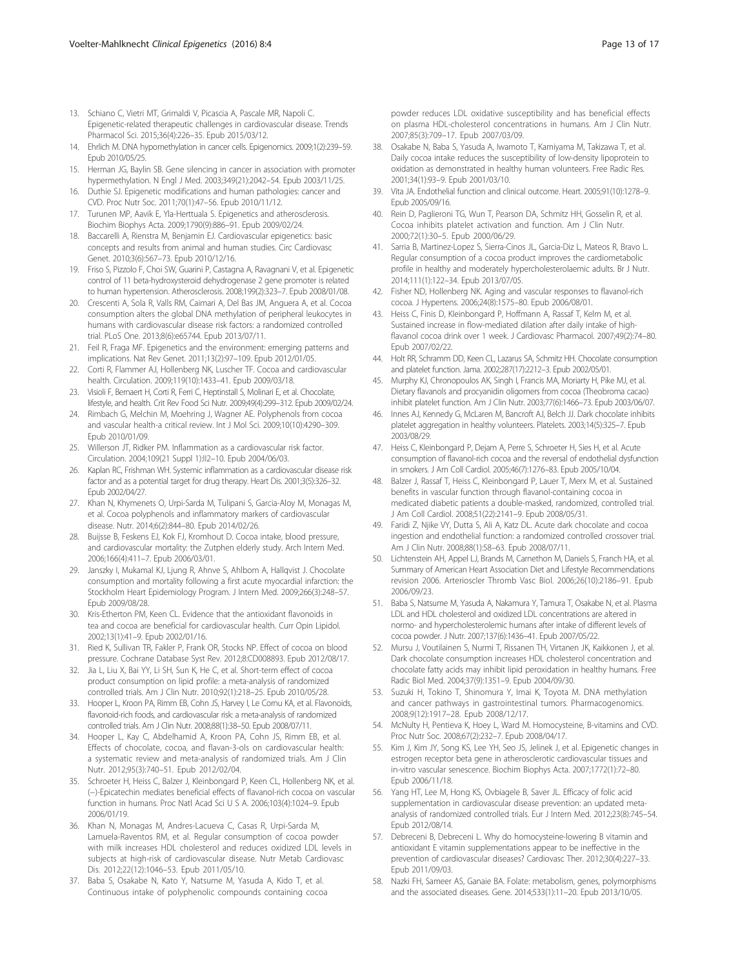- <span id="page-12-0"></span>13. Schiano C, Vietri MT, Grimaldi V, Picascia A, Pascale MR, Napoli C. Epigenetic-related therapeutic challenges in cardiovascular disease. Trends Pharmacol Sci. 2015;36(4):226–35. Epub 2015/03/12.
- 14. Ehrlich M. DNA hypomethylation in cancer cells. Epigenomics. 2009;1(2):239–59. Epub 2010/05/25.
- 15. Herman JG, Baylin SB. Gene silencing in cancer in association with promoter hypermethylation. N Engl J Med. 2003;349(21):2042–54. Epub 2003/11/25.
- 16. Duthie SJ. Epigenetic modifications and human pathologies: cancer and CVD. Proc Nutr Soc. 2011;70(1):47–56. Epub 2010/11/12.
- 17. Turunen MP, Aavik E, Yla-Herttuala S. Epigenetics and atherosclerosis. Biochim Biophys Acta. 2009;1790(9):886–91. Epub 2009/02/24.
- 18. Baccarelli A, Rienstra M, Benjamin EJ. Cardiovascular epigenetics: basic concepts and results from animal and human studies. Circ Cardiovasc Genet. 2010;3(6):567–73. Epub 2010/12/16.
- 19. Friso S, Pizzolo F, Choi SW, Guarini P, Castagna A, Ravagnani V, et al. Epigenetic control of 11 beta-hydroxysteroid dehydrogenase 2 gene promoter is related to human hypertension. Atherosclerosis. 2008;199(2):323–7. Epub 2008/01/08.
- 20. Crescenti A, Sola R, Valls RM, Caimari A, Del Bas JM, Anguera A, et al. Cocoa consumption alters the global DNA methylation of peripheral leukocytes in humans with cardiovascular disease risk factors: a randomized controlled trial. PLoS One. 2013;8(6):e65744. Epub 2013/07/11.
- 21. Feil R, Fraga MF. Epigenetics and the environment: emerging patterns and implications. Nat Rev Genet. 2011;13(2):97–109. Epub 2012/01/05.
- 22. Corti R, Flammer AJ, Hollenberg NK, Luscher TF. Cocoa and cardiovascular health. Circulation. 2009;119(10):1433–41. Epub 2009/03/18.
- 23. Visioli F, Bernaert H, Corti R, Ferri C, Heptinstall S, Molinari E, et al. Chocolate, lifestyle, and health. Crit Rev Food Sci Nutr. 2009;49(4):299–312. Epub 2009/02/24.
- 24. Rimbach G, Melchin M, Moehring J, Wagner AE. Polyphenols from cocoa and vascular health-a critical review. Int J Mol Sci. 2009;10(10):4290–309. Epub 2010/01/09.
- 25. Willerson JT, Ridker PM. Inflammation as a cardiovascular risk factor. Circulation. 2004;109(21 Suppl 1):II2–10. Epub 2004/06/03.
- 26. Kaplan RC, Frishman WH. Systemic inflammation as a cardiovascular disease risk factor and as a potential target for drug therapy. Heart Dis. 2001;3(5):326–32. Epub 2002/04/27.
- 27. Khan N, Khymenets O, Urpi-Sarda M, Tulipani S, Garcia-Aloy M, Monagas M, et al. Cocoa polyphenols and inflammatory markers of cardiovascular disease. Nutr. 2014;6(2):844–80. Epub 2014/02/26.
- 28. Buijsse B, Feskens EJ, Kok FJ, Kromhout D. Cocoa intake, blood pressure, and cardiovascular mortality: the Zutphen elderly study. Arch Intern Med. 2006;166(4):411–7. Epub 2006/03/01.
- 29. Janszky I, Mukamal KJ, Ljung R, Ahnve S, Ahlbom A, Hallqvist J. Chocolate consumption and mortality following a first acute myocardial infarction: the Stockholm Heart Epidemiology Program. J Intern Med. 2009;266(3):248–57. Epub 2009/08/28.
- 30. Kris-Etherton PM, Keen CL. Evidence that the antioxidant flavonoids in tea and cocoa are beneficial for cardiovascular health. Curr Opin Lipidol. 2002;13(1):41–9. Epub 2002/01/16.
- 31. Ried K, Sullivan TR, Fakler P, Frank OR, Stocks NP. Effect of cocoa on blood pressure. Cochrane Database Syst Rev. 2012;8:CD008893. Epub 2012/08/17.
- 32. Jia L, Liu X, Bai YY, Li SH, Sun K, He C, et al. Short-term effect of cocoa product consumption on lipid profile: a meta-analysis of randomized controlled trials. Am J Clin Nutr. 2010;92(1):218–25. Epub 2010/05/28.
- 33. Hooper L, Kroon PA, Rimm EB, Cohn JS, Harvey I, Le Cornu KA, et al. Flavonoids, flavonoid-rich foods, and cardiovascular risk: a meta-analysis of randomized controlled trials. Am J Clin Nutr. 2008;88(1):38–50. Epub 2008/07/11.
- 34. Hooper L, Kay C, Abdelhamid A, Kroon PA, Cohn JS, Rimm EB, et al. Effects of chocolate, cocoa, and flavan-3-ols on cardiovascular health: a systematic review and meta-analysis of randomized trials. Am J Clin Nutr. 2012;95(3):740–51. Epub 2012/02/04.
- 35. Schroeter H, Heiss C, Balzer J, Kleinbongard P, Keen CL, Hollenberg NK, et al. (−)-Epicatechin mediates beneficial effects of flavanol-rich cocoa on vascular function in humans. Proc Natl Acad Sci U S A. 2006;103(4):1024–9. Epub 2006/01/19.
- 36. Khan N, Monagas M, Andres-Lacueva C, Casas R, Urpi-Sarda M, Lamuela-Raventos RM, et al. Regular consumption of cocoa powder with milk increases HDL cholesterol and reduces oxidized LDL levels in subjects at high-risk of cardiovascular disease. Nutr Metab Cardiovasc Dis. 2012;22(12):1046–53. Epub 2011/05/10.
- 37. Baba S, Osakabe N, Kato Y, Natsume M, Yasuda A, Kido T, et al. Continuous intake of polyphenolic compounds containing cocoa

powder reduces LDL oxidative susceptibility and has beneficial effects on plasma HDL-cholesterol concentrations in humans. Am J Clin Nutr. 2007;85(3):709–17. Epub 2007/03/09.

- 38. Osakabe N, Baba S, Yasuda A, Iwamoto T, Kamiyama M, Takizawa T, et al. Daily cocoa intake reduces the susceptibility of low-density lipoprotein to oxidation as demonstrated in healthy human volunteers. Free Radic Res. 2001;34(1):93–9. Epub 2001/03/10.
- 39. Vita JA. Endothelial function and clinical outcome. Heart. 2005;91(10):1278–9. Epub 2005/09/16.
- 40. Rein D, Paglieroni TG, Wun T, Pearson DA, Schmitz HH, Gosselin R, et al. Cocoa inhibits platelet activation and function. Am J Clin Nutr. 2000;72(1):30–5. Epub 2000/06/29.
- 41. Sarria B, Martinez-Lopez S, Sierra-Cinos JL, Garcia-Diz L, Mateos R, Bravo L. Regular consumption of a cocoa product improves the cardiometabolic profile in healthy and moderately hypercholesterolaemic adults. Br J Nutr. 2014;111(1):122–34. Epub 2013/07/05.
- 42. Fisher ND, Hollenberg NK. Aging and vascular responses to flavanol-rich cocoa. J Hypertens. 2006;24(8):1575–80. Epub 2006/08/01.
- 43. Heiss C, Finis D, Kleinbongard P, Hoffmann A, Rassaf T, Kelm M, et al. Sustained increase in flow-mediated dilation after daily intake of highflavanol cocoa drink over 1 week. J Cardiovasc Pharmacol. 2007;49(2):74–80. Epub 2007/02/22.
- 44. Holt RR, Schramm DD, Keen CL, Lazarus SA, Schmitz HH. Chocolate consumption and platelet function. Jama. 2002;287(17):2212–3. Epub 2002/05/01.
- Murphy KJ, Chronopoulos AK, Singh I, Francis MA, Moriarty H, Pike MJ, et al. Dietary flavanols and procyanidin oligomers from cocoa (Theobroma cacao) inhibit platelet function. Am J Clin Nutr. 2003;77(6):1466–73. Epub 2003/06/07.
- 46. Innes AJ, Kennedy G, McLaren M, Bancroft AJ, Belch JJ. Dark chocolate inhibits platelet aggregation in healthy volunteers. Platelets. 2003;14(5):325–7. Epub 2003/08/29.
- 47. Heiss C, Kleinbongard P, Dejam A, Perre S, Schroeter H, Sies H, et al. Acute consumption of flavanol-rich cocoa and the reversal of endothelial dysfunction in smokers. J Am Coll Cardiol. 2005;46(7):1276–83. Epub 2005/10/04.
- 48. Balzer J, Rassaf T, Heiss C, Kleinbongard P, Lauer T, Merx M, et al. Sustained benefits in vascular function through flavanol-containing cocoa in medicated diabetic patients a double-masked, randomized, controlled trial. J Am Coll Cardiol. 2008;51(22):2141–9. Epub 2008/05/31.
- 49. Faridi Z, Njike VY, Dutta S, Ali A, Katz DL. Acute dark chocolate and cocoa ingestion and endothelial function: a randomized controlled crossover trial. Am J Clin Nutr. 2008;88(1):58–63. Epub 2008/07/11.
- 50. Lichtenstein AH, Appel LJ, Brands M, Carnethon M, Daniels S, Franch HA, et al. Summary of American Heart Association Diet and Lifestyle Recommendations revision 2006. Arterioscler Thromb Vasc Biol. 2006;26(10):2186–91. Epub 2006/09/23.
- 51. Baba S, Natsume M, Yasuda A, Nakamura Y, Tamura T, Osakabe N, et al. Plasma LDL and HDL cholesterol and oxidized LDL concentrations are altered in normo- and hypercholesterolemic humans after intake of different levels of cocoa powder. J Nutr. 2007;137(6):1436–41. Epub 2007/05/22.
- 52. Mursu J, Voutilainen S, Nurmi T, Rissanen TH, Virtanen JK, Kaikkonen J, et al. Dark chocolate consumption increases HDL cholesterol concentration and chocolate fatty acids may inhibit lipid peroxidation in healthy humans. Free Radic Biol Med. 2004;37(9):1351–9. Epub 2004/09/30.
- 53. Suzuki H, Tokino T, Shinomura Y, Imai K, Toyota M. DNA methylation and cancer pathways in gastrointestinal tumors. Pharmacogenomics. 2008;9(12):1917–28. Epub 2008/12/17.
- 54. McNulty H, Pentieva K, Hoey L, Ward M. Homocysteine, B-vitamins and CVD. Proc Nutr Soc. 2008;67(2):232–7. Epub 2008/04/17.
- 55. Kim J, Kim JY, Song KS, Lee YH, Seo JS, Jelinek J, et al. Epigenetic changes in estrogen receptor beta gene in atherosclerotic cardiovascular tissues and in-vitro vascular senescence. Biochim Biophys Acta. 2007;1772(1):72–80. Epub 2006/11/18.
- 56. Yang HT, Lee M, Hong KS, Ovbiagele B, Saver JL. Efficacy of folic acid supplementation in cardiovascular disease prevention: an updated metaanalysis of randomized controlled trials. Eur J Intern Med. 2012;23(8):745–54. Epub 2012/08/14.
- 57. Debreceni B, Debreceni L. Why do homocysteine-lowering B vitamin and antioxidant E vitamin supplementations appear to be ineffective in the prevention of cardiovascular diseases? Cardiovasc Ther. 2012;30(4):227–33. Epub 2011/09/03.
- 58. Nazki FH, Sameer AS, Ganaie BA. Folate: metabolism, genes, polymorphisms and the associated diseases. Gene. 2014;533(1):11–20. Epub 2013/10/05.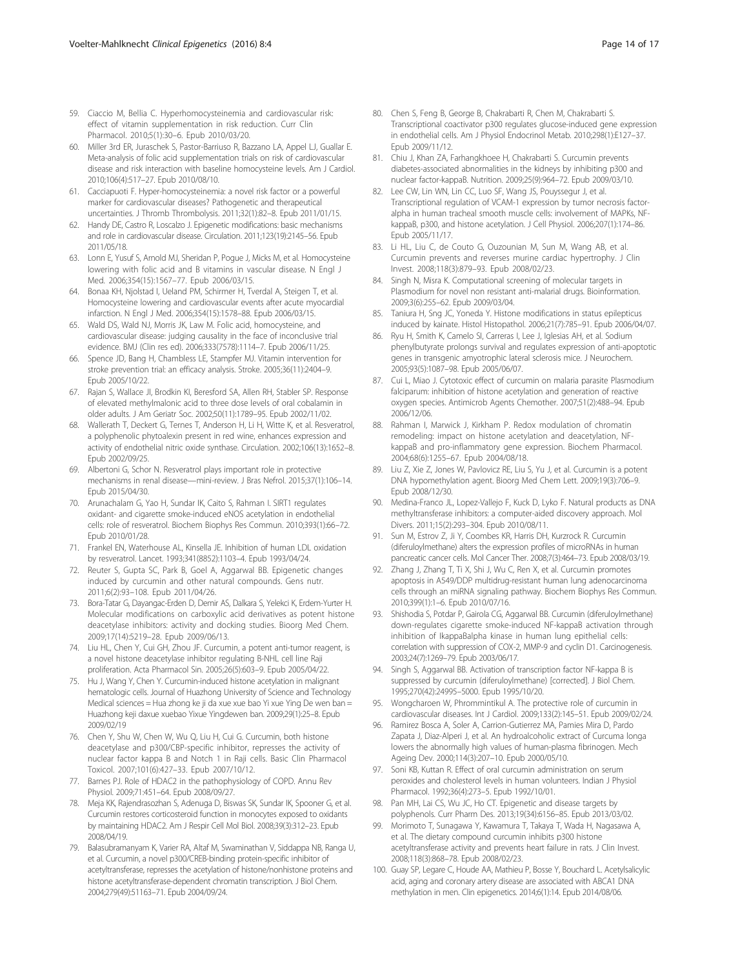- <span id="page-13-0"></span>59. Ciaccio M, Bellia C. Hyperhomocysteinemia and cardiovascular risk: effect of vitamin supplementation in risk reduction. Curr Clin Pharmacol. 2010;5(1):30–6. Epub 2010/03/20.
- 60. Miller 3rd ER, Juraschek S, Pastor-Barriuso R, Bazzano LA, Appel LJ, Guallar E. Meta-analysis of folic acid supplementation trials on risk of cardiovascular disease and risk interaction with baseline homocysteine levels. Am J Cardiol. 2010;106(4):517–27. Epub 2010/08/10.
- 61. Cacciapuoti F. Hyper-homocysteinemia: a novel risk factor or a powerful marker for cardiovascular diseases? Pathogenetic and therapeutical uncertainties. J Thromb Thrombolysis. 2011;32(1):82–8. Epub 2011/01/15.
- 62. Handy DE, Castro R, Loscalzo J. Epigenetic modifications: basic mechanisms and role in cardiovascular disease. Circulation. 2011;123(19):2145–56. Epub 2011/05/18.
- 63. Lonn E, Yusuf S, Arnold MJ, Sheridan P, Pogue J, Micks M, et al. Homocysteine lowering with folic acid and B vitamins in vascular disease. N Engl J Med. 2006;354(15):1567–77. Epub 2006/03/15.
- 64. Bonaa KH, Njolstad I, Ueland PM, Schirmer H, Tverdal A, Steigen T, et al. Homocysteine lowering and cardiovascular events after acute myocardial infarction. N Engl J Med. 2006;354(15):1578–88. Epub 2006/03/15.
- 65. Wald DS, Wald NJ, Morris JK, Law M. Folic acid, homocysteine, and cardiovascular disease: judging causality in the face of inconclusive trial evidence. BMJ (Clin res ed). 2006;333(7578):1114–7. Epub 2006/11/25.
- 66. Spence JD, Bang H, Chambless LE, Stampfer MJ. Vitamin intervention for stroke prevention trial: an efficacy analysis. Stroke. 2005;36(11):2404–9. Epub 2005/10/22.
- 67. Rajan S, Wallace JI, Brodkin KI, Beresford SA, Allen RH, Stabler SP. Response of elevated methylmalonic acid to three dose levels of oral cobalamin in older adults. J Am Geriatr Soc. 2002;50(11):1789–95. Epub 2002/11/02.
- Wallerath T, Deckert G, Ternes T, Anderson H, Li H, Witte K, et al. Resveratrol, a polyphenolic phytoalexin present in red wine, enhances expression and activity of endothelial nitric oxide synthase. Circulation. 2002;106(13):1652–8. Epub 2002/09/25.
- 69. Albertoni G, Schor N. Resveratrol plays important role in protective mechanisms in renal disease—mini-review. J Bras Nefrol. 2015;37(1):106–14. Epub 2015/04/30.
- 70. Arunachalam G, Yao H, Sundar IK, Caito S, Rahman I. SIRT1 regulates oxidant- and cigarette smoke-induced eNOS acetylation in endothelial cells: role of resveratrol. Biochem Biophys Res Commun. 2010;393(1):66–72. Epub 2010/01/28.
- 71. Frankel EN, Waterhouse AL, Kinsella JE. Inhibition of human LDL oxidation by resveratrol. Lancet. 1993;341(8852):1103–4. Epub 1993/04/24.
- 72. Reuter S, Gupta SC, Park B, Goel A, Aggarwal BB. Epigenetic changes induced by curcumin and other natural compounds. Gens nutr. 2011;6(2):93–108. Epub 2011/04/26.
- 73. Bora-Tatar G, Dayangac-Erden D, Demir AS, Dalkara S, Yelekci K, Erdem-Yurter H. Molecular modifications on carboxylic acid derivatives as potent histone deacetylase inhibitors: activity and docking studies. Bioorg Med Chem. 2009;17(14):5219–28. Epub 2009/06/13.
- 74. Liu HL, Chen Y, Cui GH, Zhou JF. Curcumin, a potent anti-tumor reagent, is a novel histone deacetylase inhibitor regulating B-NHL cell line Raji proliferation. Acta Pharmacol Sin. 2005;26(5):603–9. Epub 2005/04/22.
- 75. Hu J, Wang Y, Chen Y. Curcumin-induced histone acetylation in malignant hematologic cells. Journal of Huazhong University of Science and Technology Medical sciences = Hua zhong ke ji da xue xue bao Yi xue Ying De wen ban = Huazhong keji daxue xuebao Yixue Yingdewen ban. 2009;29(1):25–8. Epub 2009/02/19
- 76. Chen Y, Shu W, Chen W, Wu Q, Liu H, Cui G. Curcumin, both histone deacetylase and p300/CBP-specific inhibitor, represses the activity of nuclear factor kappa B and Notch 1 in Raji cells. Basic Clin Pharmacol Toxicol. 2007;101(6):427–33. Epub 2007/10/12.
- 77. Barnes PJ. Role of HDAC2 in the pathophysiology of COPD. Annu Rev Physiol. 2009;71:451–64. Epub 2008/09/27.
- 78. Meja KK, Rajendrasozhan S, Adenuga D, Biswas SK, Sundar IK, Spooner G, et al. Curcumin restores corticosteroid function in monocytes exposed to oxidants by maintaining HDAC2. Am J Respir Cell Mol Biol. 2008;39(3):312–23. Epub 2008/04/19.
- 79. Balasubramanyam K, Varier RA, Altaf M, Swaminathan V, Siddappa NB, Ranga U, et al. Curcumin, a novel p300/CREB-binding protein-specific inhibitor of acetyltransferase, represses the acetylation of histone/nonhistone proteins and histone acetyltransferase-dependent chromatin transcription. J Biol Chem. 2004;279(49):51163–71. Epub 2004/09/24.
- 80. Chen S, Feng B, George B, Chakrabarti R, Chen M, Chakrabarti S. Transcriptional coactivator p300 regulates glucose-induced gene expression in endothelial cells. Am J Physiol Endocrinol Metab. 2010;298(1):E127–37. Epub 2009/11/12.
- 81. Chiu J, Khan ZA, Farhangkhoee H, Chakrabarti S. Curcumin prevents diabetes-associated abnormalities in the kidneys by inhibiting p300 and nuclear factor-kappaB. Nutrition. 2009;25(9):964–72. Epub 2009/03/10.
- 82. Lee CW, Lin WN, Lin CC, Luo SF, Wang JS, Pouyssegur J, et al. Transcriptional regulation of VCAM-1 expression by tumor necrosis factoralpha in human tracheal smooth muscle cells: involvement of MAPKs, NFkappaB, p300, and histone acetylation. J Cell Physiol. 2006;207(1):174–86. Epub 2005/11/17.
- 83. Li HL, Liu C, de Couto G, Ouzounian M, Sun M, Wang AB, et al. Curcumin prevents and reverses murine cardiac hypertrophy. J Clin Invest. 2008;118(3):879–93. Epub 2008/02/23.
- 84. Singh N, Misra K. Computational screening of molecular targets in Plasmodium for novel non resistant anti-malarial drugs. Bioinformation. 2009;3(6):255–62. Epub 2009/03/04.
- 85. Taniura H, Sng JC, Yoneda Y. Histone modifications in status epilepticus induced by kainate. Histol Histopathol. 2006;21(7):785–91. Epub 2006/04/07.
- 86. Ryu H, Smith K, Camelo SI, Carreras I, Lee J, Iglesias AH, et al. Sodium phenylbutyrate prolongs survival and regulates expression of anti-apoptotic genes in transgenic amyotrophic lateral sclerosis mice. J Neurochem. 2005;93(5):1087–98. Epub 2005/06/07.
- 87. Cui L, Miao J. Cytotoxic effect of curcumin on malaria parasite Plasmodium falciparum: inhibition of histone acetylation and generation of reactive oxygen species. Antimicrob Agents Chemother. 2007;51(2):488–94. Epub 2006/12/06.
- Rahman I, Marwick J, Kirkham P. Redox modulation of chromatin remodeling: impact on histone acetylation and deacetylation, NFkappaB and pro-inflammatory gene expression. Biochem Pharmacol. 2004;68(6):1255–67. Epub 2004/08/18.
- 89. Liu Z, Xie Z, Jones W, Pavlovicz RE, Liu S, Yu J, et al. Curcumin is a potent DNA hypomethylation agent. Bioorg Med Chem Lett. 2009;19(3):706–9. Epub 2008/12/30.
- 90. Medina-Franco JL, Lopez-Vallejo F, Kuck D, Lyko F. Natural products as DNA methyltransferase inhibitors: a computer-aided discovery approach. Mol Divers. 2011;15(2):293–304. Epub 2010/08/11.
- 91. Sun M, Estrov Z, Ji Y, Coombes KR, Harris DH, Kurzrock R. Curcumin (diferuloylmethane) alters the expression profiles of microRNAs in human pancreatic cancer cells. Mol Cancer Ther. 2008;7(3):464–73. Epub 2008/03/19.
- 92. Zhang J, Zhang T, Ti X, Shi J, Wu C, Ren X, et al. Curcumin promotes apoptosis in A549/DDP multidrug-resistant human lung adenocarcinoma cells through an miRNA signaling pathway. Biochem Biophys Res Commun. 2010;399(1):1–6. Epub 2010/07/16.
- 93. Shishodia S, Potdar P, Gairola CG, Aggarwal BB. Curcumin (diferuloylmethane) down-regulates cigarette smoke-induced NF-kappaB activation through inhibition of IkappaBalpha kinase in human lung epithelial cells: correlation with suppression of COX-2, MMP-9 and cyclin D1. Carcinogenesis. 2003;24(7):1269–79. Epub 2003/06/17.
- 94. Singh S, Aggarwal BB. Activation of transcription factor NF-kappa B is suppressed by curcumin (diferuloylmethane) [corrected]. J Biol Chem. 1995;270(42):24995–5000. Epub 1995/10/20.
- 95. Wongcharoen W, Phrommintikul A. The protective role of curcumin in cardiovascular diseases. Int J Cardiol. 2009;133(2):145–51. Epub 2009/02/24.
- 96. Ramirez Bosca A, Soler A, Carrion-Gutierrez MA, Pamies Mira D, Pardo Zapata J, Diaz-Alperi J, et al. An hydroalcoholic extract of Curcuma longa lowers the abnormally high values of human-plasma fibrinogen. Mech Ageing Dev. 2000;114(3):207–10. Epub 2000/05/10.
- 97. Soni KB, Kuttan R. Effect of oral curcumin administration on serum peroxides and cholesterol levels in human volunteers. Indian J Physiol Pharmacol. 1992;36(4):273–5. Epub 1992/10/01.
- 98. Pan MH, Lai CS, Wu JC, Ho CT. Epigenetic and disease targets by polyphenols. Curr Pharm Des. 2013;19(34):6156–85. Epub 2013/03/02.
- 99. Morimoto T, Sunagawa Y, Kawamura T, Takaya T, Wada H, Nagasawa A, et al. The dietary compound curcumin inhibits p300 histone acetyltransferase activity and prevents heart failure in rats. J Clin Invest. 2008;118(3):868–78. Epub 2008/02/23.
- 100. Guay SP, Legare C, Houde AA, Mathieu P, Bosse Y, Bouchard L. Acetylsalicylic acid, aging and coronary artery disease are associated with ABCA1 DNA methylation in men. Clin epigenetics. 2014;6(1):14. Epub 2014/08/06.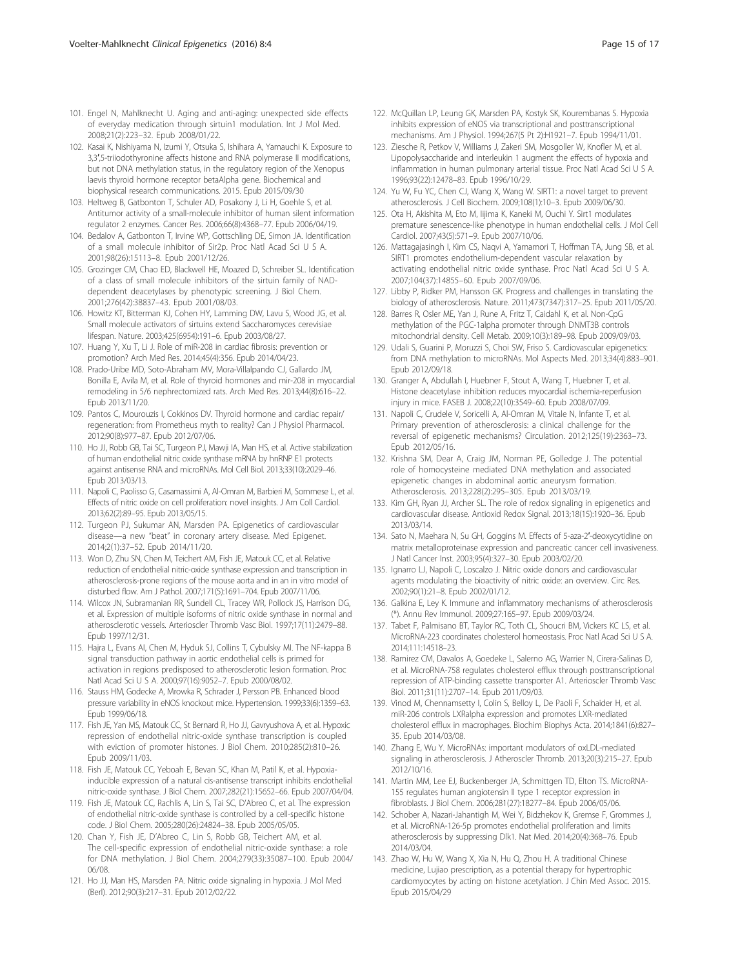- <span id="page-14-0"></span>101. Engel N, Mahlknecht U. Aging and anti-aging: unexpected side effects of everyday medication through sirtuin1 modulation. Int J Mol Med. 2008;21(2):223–32. Epub 2008/01/22.
- 102. Kasai K, Nishiyama N, Izumi Y, Otsuka S, Ishihara A, Yamauchi K. Exposure to 3,3′,5-triiodothyronine affects histone and RNA polymerase II modifications, but not DNA methylation status, in the regulatory region of the Xenopus laevis thyroid hormone receptor betaAlpha gene. Biochemical and biophysical research communications. 2015. Epub 2015/09/30
- 103. Heltweg B, Gatbonton T, Schuler AD, Posakony J, Li H, Goehle S, et al. Antitumor activity of a small-molecule inhibitor of human silent information regulator 2 enzymes. Cancer Res. 2006;66(8):4368–77. Epub 2006/04/19.
- 104. Bedalov A, Gatbonton T, Irvine WP, Gottschling DE, Simon JA. Identification of a small molecule inhibitor of Sir2p. Proc Natl Acad Sci U S A. 2001;98(26):15113–8. Epub 2001/12/26.
- 105. Grozinger CM, Chao ED, Blackwell HE, Moazed D, Schreiber SL. Identification of a class of small molecule inhibitors of the sirtuin family of NADdependent deacetylases by phenotypic screening. J Biol Chem. 2001;276(42):38837–43. Epub 2001/08/03.
- 106. Howitz KT, Bitterman KJ, Cohen HY, Lamming DW, Lavu S, Wood JG, et al. Small molecule activators of sirtuins extend Saccharomyces cerevisiae lifespan. Nature. 2003;425(6954):191–6. Epub 2003/08/27.
- 107. Huang Y, Xu T, Li J. Role of miR-208 in cardiac fibrosis: prevention or promotion? Arch Med Res. 2014;45(4):356. Epub 2014/04/23.
- 108. Prado-Uribe MD, Soto-Abraham MV, Mora-Villalpando CJ, Gallardo JM, Bonilla E, Avila M, et al. Role of thyroid hormones and mir-208 in myocardial remodeling in 5/6 nephrectomized rats. Arch Med Res. 2013;44(8):616–22. Epub 2013/11/20.
- 109. Pantos C, Mourouzis I, Cokkinos DV. Thyroid hormone and cardiac repair/ regeneration: from Prometheus myth to reality? Can J Physiol Pharmacol. 2012;90(8):977–87. Epub 2012/07/06.
- 110. Ho JJ, Robb GB, Tai SC, Turgeon PJ, Mawji IA, Man HS, et al. Active stabilization of human endothelial nitric oxide synthase mRNA by hnRNP E1 protects against antisense RNA and microRNAs. Mol Cell Biol. 2013;33(10):2029–46. Epub 2013/03/13.
- 111. Napoli C, Paolisso G, Casamassimi A, Al-Omran M, Barbieri M, Sommese L, et al. Effects of nitric oxide on cell proliferation: novel insights. J Am Coll Cardiol. 2013;62(2):89–95. Epub 2013/05/15.
- 112. Turgeon PJ, Sukumar AN, Marsden PA. Epigenetics of cardiovascular disease—a new "beat" in coronary artery disease. Med Epigenet. 2014;2(1):37–52. Epub 2014/11/20.
- 113. Won D, Zhu SN, Chen M, Teichert AM, Fish JE, Matouk CC, et al. Relative reduction of endothelial nitric-oxide synthase expression and transcription in atherosclerosis-prone regions of the mouse aorta and in an in vitro model of disturbed flow. Am J Pathol. 2007;171(5):1691–704. Epub 2007/11/06.
- 114. Wilcox JN, Subramanian RR, Sundell CL, Tracey WR, Pollock JS, Harrison DG, et al. Expression of multiple isoforms of nitric oxide synthase in normal and atherosclerotic vessels. Arterioscler Thromb Vasc Biol. 1997;17(11):2479–88. Epub 1997/12/31.
- 115. Hajra L, Evans AI, Chen M, Hyduk SJ, Collins T, Cybulsky MI. The NF-kappa B signal transduction pathway in aortic endothelial cells is primed for activation in regions predisposed to atherosclerotic lesion formation. Proc Natl Acad Sci U S A. 2000;97(16):9052–7. Epub 2000/08/02.
- 116. Stauss HM, Godecke A, Mrowka R, Schrader J, Persson PB. Enhanced blood pressure variability in eNOS knockout mice. Hypertension. 1999;33(6):1359–63. Epub 1999/06/18.
- 117. Fish JE, Yan MS, Matouk CC, St Bernard R, Ho JJ, Gavryushova A, et al. Hypoxic repression of endothelial nitric-oxide synthase transcription is coupled with eviction of promoter histones. J Biol Chem. 2010;285(2):810–26. Epub 2009/11/03.
- 118. Fish JE, Matouk CC, Yeboah E, Bevan SC, Khan M, Patil K, et al. Hypoxiainducible expression of a natural cis-antisense transcript inhibits endothelial nitric-oxide synthase. J Biol Chem. 2007;282(21):15652–66. Epub 2007/04/04.
- 119. Fish JE, Matouk CC, Rachlis A, Lin S, Tai SC, D'Abreo C, et al. The expression of endothelial nitric-oxide synthase is controlled by a cell-specific histone code. J Biol Chem. 2005;280(26):24824–38. Epub 2005/05/05.
- 120. Chan Y, Fish JE, D'Abreo C, Lin S, Robb GB, Teichert AM, et al. The cell-specific expression of endothelial nitric-oxide synthase: a role for DNA methylation. J Biol Chem. 2004;279(33):35087–100. Epub 2004/ 06/08.
- 121. Ho JJ, Man HS, Marsden PA. Nitric oxide signaling in hypoxia. J Mol Med (Berl). 2012;90(3):217–31. Epub 2012/02/22.
- 122. McQuillan LP, Leung GK, Marsden PA, Kostyk SK, Kourembanas S. Hypoxia inhibits expression of eNOS via transcriptional and posttranscriptional mechanisms. Am J Physiol. 1994;267(5 Pt 2):H1921–7. Epub 1994/11/01.
- 123. Ziesche R, Petkov V, Williams J, Zakeri SM, Mosgoller W, Knofler M, et al. Lipopolysaccharide and interleukin 1 augment the effects of hypoxia and inflammation in human pulmonary arterial tissue. Proc Natl Acad Sci U S A. 1996;93(22):12478–83. Epub 1996/10/29.
- 124. Yu W, Fu YC, Chen CJ, Wang X, Wang W. SIRT1: a novel target to prevent atherosclerosis. J Cell Biochem. 2009;108(1):10–3. Epub 2009/06/30.
- 125. Ota H, Akishita M, Eto M, Iijima K, Kaneki M, Ouchi Y. Sirt1 modulates premature senescence-like phenotype in human endothelial cells. J Mol Cell Cardiol. 2007;43(5):571–9. Epub 2007/10/06.
- 126. Mattagajasingh I, Kim CS, Naqvi A, Yamamori T, Hoffman TA, Jung SB, et al. SIRT1 promotes endothelium-dependent vascular relaxation by activating endothelial nitric oxide synthase. Proc Natl Acad Sci U S A. 2007;104(37):14855–60. Epub 2007/09/06.
- 127. Libby P, Ridker PM, Hansson GK. Progress and challenges in translating the biology of atherosclerosis. Nature. 2011;473(7347):317–25. Epub 2011/05/20.
- 128. Barres R, Osler ME, Yan J, Rune A, Fritz T, Caidahl K, et al. Non-CpG methylation of the PGC-1alpha promoter through DNMT3B controls mitochondrial density. Cell Metab. 2009;10(3):189–98. Epub 2009/09/03.
- 129. Udali S, Guarini P, Moruzzi S, Choi SW, Friso S. Cardiovascular epigenetics: from DNA methylation to microRNAs. Mol Aspects Med. 2013;34(4):883–901. Epub 2012/09/18.
- 130. Granger A, Abdullah I, Huebner F, Stout A, Wang T, Huebner T, et al. Histone deacetylase inhibition reduces myocardial ischemia-reperfusion injury in mice. FASEB J. 2008;22(10):3549–60. Epub 2008/07/09.
- 131. Napoli C, Crudele V, Soricelli A, Al-Omran M, Vitale N, Infante T, et al. Primary prevention of atherosclerosis: a clinical challenge for the reversal of epigenetic mechanisms? Circulation. 2012;125(19):2363–73. Epub 2012/05/16.
- 132. Krishna SM, Dear A, Craig JM, Norman PE, Golledge J. The potential role of homocysteine mediated DNA methylation and associated epigenetic changes in abdominal aortic aneurysm formation. Atherosclerosis. 2013;228(2):295–305. Epub 2013/03/19.
- 133. Kim GH, Ryan JJ, Archer SL. The role of redox signaling in epigenetics and cardiovascular disease. Antioxid Redox Signal. 2013;18(15):1920–36. Epub 2013/03/14.
- 134. Sato N, Maehara N, Su GH, Goggins M. Effects of 5-aza-2′-deoxycytidine on matrix metalloproteinase expression and pancreatic cancer cell invasiveness. J Natl Cancer Inst. 2003;95(4):327–30. Epub 2003/02/20.
- 135. Ignarro LJ, Napoli C, Loscalzo J. Nitric oxide donors and cardiovascular agents modulating the bioactivity of nitric oxide: an overview. Circ Res. 2002;90(1):21–8. Epub 2002/01/12.
- 136. Galkina E, Ley K. Immune and inflammatory mechanisms of atherosclerosis (\*). Annu Rev Immunol. 2009;27:165–97. Epub 2009/03/24.
- 137. Tabet F, Palmisano BT, Taylor RC, Toth CL, Shoucri BM, Vickers KC LS, et al. MicroRNA-223 coordinates cholesterol homeostasis. Proc Natl Acad Sci U S A. 2014;111:14518–23.
- 138. Ramirez CM, Davalos A, Goedeke L, Salerno AG, Warrier N, Cirera-Salinas D, et al. MicroRNA-758 regulates cholesterol efflux through posttranscriptional repression of ATP-binding cassette transporter A1. Arterioscler Thromb Vasc Biol. 2011;31(11):2707–14. Epub 2011/09/03.
- 139. Vinod M, Chennamsetty I, Colin S, Belloy L, De Paoli F, Schaider H, et al. miR-206 controls LXRalpha expression and promotes LXR-mediated cholesterol efflux in macrophages. Biochim Biophys Acta. 2014;1841(6):827– 35. Epub 2014/03/08.
- 140. Zhang E, Wu Y. MicroRNAs: important modulators of oxLDL-mediated signaling in atherosclerosis. J Atheroscler Thromb. 2013;20(3):215–27. Epub 2012/10/16.
- 141. Martin MM, Lee EJ, Buckenberger JA, Schmittgen TD, Elton TS. MicroRNA-155 regulates human angiotensin II type 1 receptor expression in fibroblasts. J Biol Chem. 2006;281(27):18277–84. Epub 2006/05/06.
- 142. Schober A, Nazari-Jahantigh M, Wei Y, Bidzhekov K, Gremse F, Grommes J, et al. MicroRNA-126-5p promotes endothelial proliferation and limits atherosclerosis by suppressing Dlk1. Nat Med. 2014;20(4):368–76. Epub 2014/03/04.
- 143. Zhao W, Hu W, Wang X, Xia N, Hu Q, Zhou H. A traditional Chinese medicine, Lujiao prescription, as a potential therapy for hypertrophic cardiomyocytes by acting on histone acetylation. J Chin Med Assoc. 2015. Epub 2015/04/29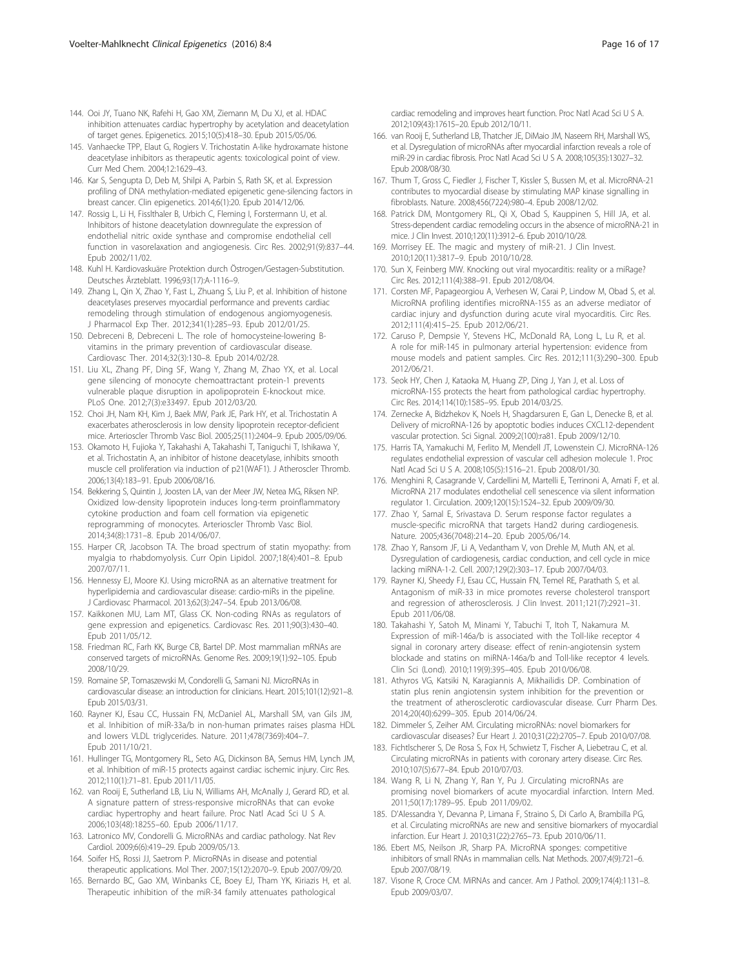- <span id="page-15-0"></span>144. Ooi JY, Tuano NK, Rafehi H, Gao XM, Ziemann M, Du XJ, et al. HDAC inhibition attenuates cardiac hypertrophy by acetylation and deacetylation of target genes. Epigenetics. 2015;10(5):418–30. Epub 2015/05/06.
- 145. Vanhaecke TPP, Elaut G, Rogiers V. Trichostatin A-like hydroxamate histone deacetylase inhibitors as therapeutic agents: toxicological point of view. Curr Med Chem. 2004;12:1629–43.
- 146. Kar S, Sengupta D, Deb M, Shilpi A, Parbin S, Rath SK, et al. Expression profiling of DNA methylation-mediated epigenetic gene-silencing factors in breast cancer. Clin epigenetics. 2014;6(1):20. Epub 2014/12/06.
- 147. Rossig L, Li H, Fisslthaler B, Urbich C, Fleming I, Forstermann U, et al. Inhibitors of histone deacetylation downregulate the expression of endothelial nitric oxide synthase and compromise endothelial cell function in vasorelaxation and angiogenesis. Circ Res. 2002;91(9):837–44. Epub 2002/11/02.
- 148. Kuhl H. Kardiovaskuäre Protektion durch Östrogen/Gestagen-Substitution. Deutsches Ärzteblatt. 1996;93(17):A-1116–9.
- 149. Zhang L, Qin X, Zhao Y, Fast L, Zhuang S, Liu P, et al. Inhibition of histone deacetylases preserves myocardial performance and prevents cardiac remodeling through stimulation of endogenous angiomyogenesis. J Pharmacol Exp Ther. 2012;341(1):285–93. Epub 2012/01/25.
- 150. Debreceni B, Debreceni L. The role of homocysteine-lowering Bvitamins in the primary prevention of cardiovascular disease. Cardiovasc Ther. 2014;32(3):130–8. Epub 2014/02/28.
- 151. Liu XL, Zhang PF, Ding SF, Wang Y, Zhang M, Zhao YX, et al. Local gene silencing of monocyte chemoattractant protein-1 prevents vulnerable plaque disruption in apolipoprotein E-knockout mice. PLoS One. 2012;7(3):e33497. Epub 2012/03/20.
- 152. Choi JH, Nam KH, Kim J, Baek MW, Park JE, Park HY, et al. Trichostatin A exacerbates atherosclerosis in low density lipoprotein receptor-deficient mice. Arterioscler Thromb Vasc Biol. 2005;25(11):2404–9. Epub 2005/09/06.
- 153. Okamoto H, Fujioka Y, Takahashi A, Takahashi T, Taniguchi T, Ishikawa Y, et al. Trichostatin A, an inhibitor of histone deacetylase, inhibits smooth muscle cell proliferation via induction of p21(WAF1). J Atheroscler Thromb. 2006;13(4):183–91. Epub 2006/08/16.
- 154. Bekkering S, Quintin J, Joosten LA, van der Meer JW, Netea MG, Riksen NP. Oxidized low-density lipoprotein induces long-term proinflammatory cytokine production and foam cell formation via epigenetic reprogramming of monocytes. Arterioscler Thromb Vasc Biol. 2014;34(8):1731–8. Epub 2014/06/07.
- 155. Harper CR, Jacobson TA. The broad spectrum of statin myopathy: from myalgia to rhabdomyolysis. Curr Opin Lipidol. 2007;18(4):401–8. Epub 2007/07/11.
- 156. Hennessy EJ, Moore KJ. Using microRNA as an alternative treatment for hyperlipidemia and cardiovascular disease: cardio-miRs in the pipeline. J Cardiovasc Pharmacol. 2013;62(3):247–54. Epub 2013/06/08.
- 157. Kaikkonen MU, Lam MT, Glass CK. Non-coding RNAs as regulators of gene expression and epigenetics. Cardiovasc Res. 2011;90(3):430–40. Epub 2011/05/12.
- 158. Friedman RC, Farh KK, Burge CB, Bartel DP. Most mammalian mRNAs are conserved targets of microRNAs. Genome Res. 2009;19(1):92–105. Epub 2008/10/29.
- 159. Romaine SP, Tomaszewski M, Condorelli G, Samani NJ. MicroRNAs in cardiovascular disease: an introduction for clinicians. Heart. 2015;101(12):921–8. Epub 2015/03/31.
- 160. Rayner KJ, Esau CC, Hussain FN, McDaniel AL, Marshall SM, van Gils JM, et al. Inhibition of miR-33a/b in non-human primates raises plasma HDL and lowers VLDL triglycerides. Nature. 2011;478(7369):404–7. Epub 2011/10/21.
- 161. Hullinger TG, Montgomery RL, Seto AG, Dickinson BA, Semus HM, Lynch JM, et al. Inhibition of miR-15 protects against cardiac ischemic injury. Circ Res. 2012;110(1):71–81. Epub 2011/11/05.
- 162. van Rooij E, Sutherland LB, Liu N, Williams AH, McAnally J, Gerard RD, et al. A signature pattern of stress-responsive microRNAs that can evoke cardiac hypertrophy and heart failure. Proc Natl Acad Sci U S A. 2006;103(48):18255–60. Epub 2006/11/17.
- 163. Latronico MV, Condorelli G. MicroRNAs and cardiac pathology. Nat Rev Cardiol. 2009;6(6):419–29. Epub 2009/05/13.
- 164. Soifer HS, Rossi JJ, Saetrom P. MicroRNAs in disease and potential therapeutic applications. Mol Ther. 2007;15(12):2070–9. Epub 2007/09/20.
- 165. Bernardo BC, Gao XM, Winbanks CE, Boey EJ, Tham YK, Kiriazis H, et al. Therapeutic inhibition of the miR-34 family attenuates pathological

cardiac remodeling and improves heart function. Proc Natl Acad Sci U S A. 2012;109(43):17615–20. Epub 2012/10/11.

- 166. van Rooij E, Sutherland LB, Thatcher JE, DiMaio JM, Naseem RH, Marshall WS, et al. Dysregulation of microRNAs after myocardial infarction reveals a role of miR-29 in cardiac fibrosis. Proc Natl Acad Sci U S A. 2008;105(35):13027–32. Epub 2008/08/30.
- 167. Thum T, Gross C, Fiedler J, Fischer T, Kissler S, Bussen M, et al. MicroRNA-21 contributes to myocardial disease by stimulating MAP kinase signalling in fibroblasts. Nature. 2008;456(7224):980–4. Epub 2008/12/02.
- 168. Patrick DM, Montgomery RL, Qi X, Obad S, Kauppinen S, Hill JA, et al. Stress-dependent cardiac remodeling occurs in the absence of microRNA-21 in mice. J Clin Invest. 2010;120(11):3912–6. Epub 2010/10/28.
- 169. Morrisey EE. The magic and mystery of miR-21. J Clin Invest. 2010;120(11):3817–9. Epub 2010/10/28.
- 170. Sun X, Feinberg MW. Knocking out viral myocarditis: reality or a miRage? Circ Res. 2012;111(4):388–91. Epub 2012/08/04.
- 171. Corsten MF, Papageorgiou A, Verhesen W, Carai P, Lindow M, Obad S, et al. MicroRNA profiling identifies microRNA-155 as an adverse mediator of cardiac injury and dysfunction during acute viral myocarditis. Circ Res. 2012;111(4):415–25. Epub 2012/06/21.
- 172. Caruso P, Dempsie Y, Stevens HC, McDonald RA, Long L, Lu R, et al. A role for miR-145 in pulmonary arterial hypertension: evidence from mouse models and patient samples. Circ Res. 2012;111(3):290–300. Epub 2012/06/21.
- 173. Seok HY, Chen J, Kataoka M, Huang ZP, Ding J, Yan J, et al. Loss of microRNA-155 protects the heart from pathological cardiac hypertrophy. Circ Res. 2014;114(10):1585–95. Epub 2014/03/25.
- 174. Zernecke A, Bidzhekov K, Noels H, Shagdarsuren E, Gan L, Denecke B, et al. Delivery of microRNA-126 by apoptotic bodies induces CXCL12-dependent vascular protection. Sci Signal. 2009;2(100):ra81. Epub 2009/12/10.
- 175. Harris TA, Yamakuchi M, Ferlito M, Mendell JT, Lowenstein CJ. MicroRNA-126 regulates endothelial expression of vascular cell adhesion molecule 1. Proc Natl Acad Sci U S A. 2008;105(5):1516–21. Epub 2008/01/30.
- 176. Menghini R, Casagrande V, Cardellini M, Martelli E, Terrinoni A, Amati F, et al. MicroRNA 217 modulates endothelial cell senescence via silent information regulator 1. Circulation. 2009;120(15):1524–32. Epub 2009/09/30.
- 177. Zhao Y, Samal E, Srivastava D. Serum response factor regulates a muscle-specific microRNA that targets Hand2 during cardiogenesis. Nature. 2005;436(7048):214–20. Epub 2005/06/14.
- 178. Zhao Y, Ransom JF, Li A, Vedantham V, von Drehle M, Muth AN, et al. Dysregulation of cardiogenesis, cardiac conduction, and cell cycle in mice lacking miRNA-1-2. Cell. 2007;129(2):303–17. Epub 2007/04/03.
- 179. Rayner KJ, Sheedy FJ, Esau CC, Hussain FN, Temel RE, Parathath S, et al. Antagonism of miR-33 in mice promotes reverse cholesterol transport and regression of atherosclerosis. J Clin Invest. 2011;121(7):2921–31. Epub 2011/06/08.
- 180. Takahashi Y, Satoh M, Minami Y, Tabuchi T, Itoh T, Nakamura M. Expression of miR-146a/b is associated with the Toll-like receptor 4 signal in coronary artery disease: effect of renin-angiotensin system blockade and statins on miRNA-146a/b and Toll-like receptor 4 levels. Clin Sci (Lond). 2010;119(9):395–405. Epub 2010/06/08.
- 181. Athyros VG, Katsiki N, Karagiannis A, Mikhailidis DP. Combination of statin plus renin angiotensin system inhibition for the prevention or the treatment of atherosclerotic cardiovascular disease. Curr Pharm Des. 2014;20(40):6299–305. Epub 2014/06/24.
- 182. Dimmeler S, Zeiher AM. Circulating microRNAs: novel biomarkers for cardiovascular diseases? Eur Heart J. 2010;31(22):2705–7. Epub 2010/07/08.
- 183. Fichtlscherer S, De Rosa S, Fox H, Schwietz T, Fischer A, Liebetrau C, et al. Circulating microRNAs in patients with coronary artery disease. Circ Res. 2010;107(5):677–84. Epub 2010/07/03.
- 184. Wang R, Li N, Zhang Y, Ran Y, Pu J. Circulating microRNAs are promising novel biomarkers of acute myocardial infarction. Intern Med. 2011;50(17):1789–95. Epub 2011/09/02.
- 185. D'Alessandra Y, Devanna P, Limana F, Straino S, Di Carlo A, Brambilla PG, et al. Circulating microRNAs are new and sensitive biomarkers of myocardial infarction. Eur Heart J. 2010;31(22):2765–73. Epub 2010/06/11.
- 186. Ebert MS, Neilson JR, Sharp PA. MicroRNA sponges: competitive inhibitors of small RNAs in mammalian cells. Nat Methods. 2007;4(9):721–6. Epub 2007/08/19.
- 187. Visone R, Croce CM. MiRNAs and cancer. Am J Pathol. 2009;174(4):1131–8. Epub 2009/03/07.